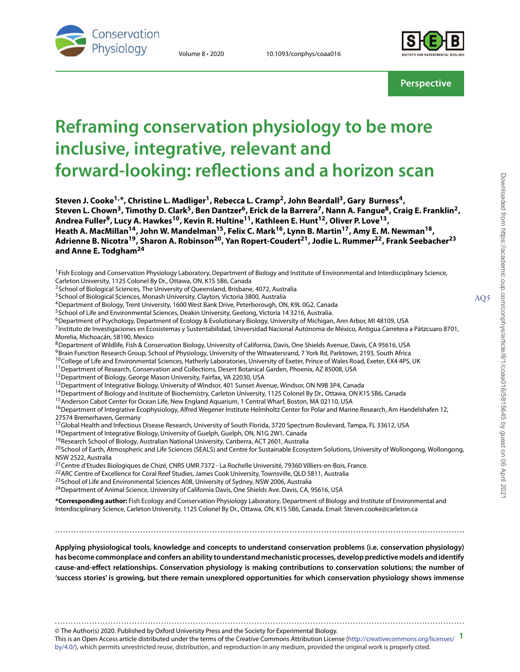

Volume 8 • 2020 10.1093/conphys/coaa016



**Perspective**

# **Reframing conservation physiology to be more inclusive, integrative, relevant and forward-looking: reflections and a horizon scan**

Steven J. Cooke<sup>1,\*</sup>, Christine L. Madliger<sup>1</sup>, Rebecca L. Cramp<sup>2</sup>, John Beardall<sup>3</sup>, Gary Burness<sup>4</sup>, **Steven L. Chown3, Timothy D. Clark5, Ben Dantzer6, Erick de la Barrera7, Nann A. Fangue8, Craig E. Franklin2,** Andrea Fuller<sup>9</sup>, Lucy A. Hawkes<sup>10</sup>, Kevin R. Hultine<sup>11</sup>, Kathleen E. Hunt<sup>12</sup>, Oliver P. Love<sup>13</sup>, **Heath A. MacMillan14, John W. Mandelman15, Felix C. Mark16, Lynn B. Martin17, Amy E. M. Newman18,** Adrienne B. Nicotra<sup>19</sup>, Sharon A. Robinson<sup>20</sup>, Yan Ropert-Coudert<sup>21</sup>, Jodie L. Rummer<sup>22</sup>, Frank Seebacher<sup>23</sup> **and Anne E. Todgham<sup>24</sup>**

<sup>1</sup>Fish Ecology and Conservation Physiology Laboratory, Department of Biology and Institute of Environmental and Interdisciplinary Science, Carleton University, 1125 Colonel By Dr., Ottawa, ON, K1S 5B6, Canada

<sup>2</sup> School of Biological Sciences, The University of Queensland, Brisbane, 4072, Australia

 ${}^{3}$ School of Biological Sciences, Monash University, Clayton, Victoria 3800, Australia  $\rm AQ5$ 

4Department of Biology, Trent University, 1600 West Bank Drive, Peterborough, ON, K9L 0G2, Canada

<sup>5</sup> School of Life and Environmental Sciences, Deakin University, Geelong, Victoria 14 3216, Australia.

6Department of Psychology, Department of Ecology & Evolutionary Biology, University of Michigan, Ann Arbor, MI 48109, USA

7Instituto de Investigaciones en Ecosistemas y Sustentabilidad, Universidad Nacional Autónoma de México, Antigua Carretera a Pátzcuaro 8701, Morelia, Michoacán, 58190, Mexico

8Department of Wildlife, Fish & Conservation Biology, University of California, Davis, One Shields Avenue, Davis, CA 95616, USA

9Brain Function Research Group, School of Physiology, University of the Witwatersrand, 7 York Rd, Parktown, 2193, South Africa

<sup>10</sup>College of Life and Environmental Sciences, Hatherly Laboratories, University of Exeter, Prince of Wales Road, Exeter, EX4 4PS, UK

11Department of Research, Conservation and Collections, Desert Botanical Garden, Phoenix, AZ 85008, USA

<sup>12</sup> Department of Biology, George Mason University, Fairfax, VA 22030, USA

<sup>13</sup> Department of Integrative Biology, University of Windsor, 401 Sunset Avenue, Windsor, ON N9B 3P4, Canada

<sup>14</sup> Department of Biology and Institute of Biochemistry, Carleton University, 1125 Colonel By Dr., Ottawa, ON K1S 5B6, Canada

<sup>15</sup> Anderson Cabot Center for Ocean Life, New England Aquarium, 1 Central Wharf, Boston, MA 02110, USA

<sup>16</sup> Department of Integrative Ecophysiology, Alfred Wegener Institute Helmholtz Center for Polar and Marine Research, Am Handelshafen 12, 27574 Bremerhaven, Germany

 $^{17}$ Global Health and Infectious Disease Research, University of South Florida, 3720 Spectrum Boulevard, Tampa, FL 33612, USA

<sup>18</sup> Department of Integrative Biology, University of Guelph, Guelph, ON, N1G 2W1, Canada

<sup>19</sup> Research School of Biology, Australian National University, Canberra, ACT 2601, Australia

<sup>20</sup>School of Earth, Atmospheric and Life Sciences (SEALS) and Centre for Sustainable Ecosystem Solutions, University of Wollongong, Wollongong, NSW 2522, Australia

<sup>21</sup> Centre d'Etudes Biologiques de Chizé, CNRS UMR 7372 - La Rochelle Université, 79360 Villiers-en-Bois, France.

<sup>22</sup> ARC Centre of Excellence for Coral Reef Studies, James Cook University, Townsville, QLD 5811, Australia

<sup>23</sup> School of Life and Environmental Sciences A08, University of Sydney, NSW 2006, Australia

<sup>24</sup> Department of Animal Science, University of California Davis, One Shields Ave. Davis, CA, 95616, USA

**\*Corresponding author:** Fish Ecology and Conservation Physiology Laboratory, Department of Biology and Institute of Environmental and Interdisciplinary Science, Carleton University, 1125 Colonel By Dr., Ottawa, ON, K1S 5B6, Canada. Email: Steven.cooke@carleton.ca

..........................................................................................................................................................

**Applying physiological tools, knowledge and concepts to understand conservation problems (i.e. conservation physiology) has become commonplace and confers an ability to understand mechanistic processes, develop predictive models and identify cause-and-effect relationships. Conservation physiology is making contributions to conservation solutions; the number of 'success stories' is growing, but there remain unexplored opportunities for which conservation physiology shows immense**

© The Author(s) 2020. Published by Oxford University Press and the Society for Experimental Biology. ..........................................................................................................................................................

This is an Open Access article distributed under the terms of the Creative Commons Attribution License [\(http://creativecommons.org/licenses/](http://creativecommons.org/licenses/by/4.0/) **1**

[by/4.0/\)](http://creativecommons.org/licenses/by/4.0/), which permits unrestricted reuse, distribution, and reproduction in any medium, provided the original work is properly cited.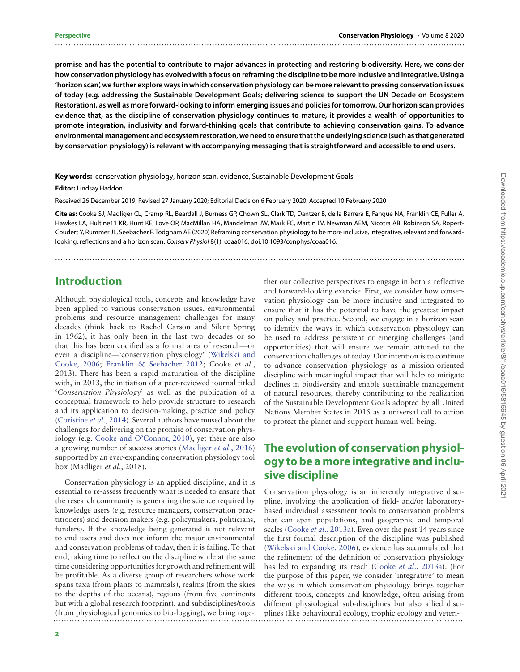# **promise and has the potential to contribute to major advances in protecting and restoring biodiversity. Here, we consider how conservation physiology has evolved with a focus on reframing the discipline to be more inclusive and integrative. Using a 'horizon scan', we further explore ways in which conservation physiology can be more relevant to pressing conservation issues of today (e.g. addressing the Sustainable Development Goals; delivering science to support the UN Decade on Ecosystem Restoration), as well as more forward-looking to inform emerging issues and policies for tomorrow. Our horizon scan provides evidence that, as the discipline of conservation physiology continues to mature, it provides a wealth of opportunities to promote integration, inclusivity and forward-thinking goals that contribute to achieving conservation gains. To advance environmentalmanagement and ecosystem restoration, we need to ensure that the underlying science (such as that generated by conservation physiology) is relevant with accompanying messaging that is straightforward and accessible to end users.**

..........................................................................................................................................................

**Key words:** conservation physiology, horizon scan, evidence, Sustainable Development Goals

**Editor:** Lindsay Haddon

Received 26 December 2019; Revised 27 January 2020; Editorial Decision 6 February 2020; Accepted 10 February 2020

**Cite as:** Cooke SJ, Madliger CL, Cramp RL, Beardall J, Burness GP, Chown SL, Clark TD, Dantzer B, de la Barrera E, Fangue NA, Franklin CE, Fuller A, Hawkes LA, Hultine11 KR, Hunt KE, Love OP, MacMillan HA, Mandelman JW, Mark FC, Martin LV, Newman AEM, Nicotra AB, Robinson SA, Ropert-Coudert Y, Rummer JL, Seebacher F, Todgham AE (2020) Reframing conservation physiology to be more inclusive, integrative, relevant and forwardlooking: reflections and a horizon scan. Conserv Physiol 8(1): coaa016; doi:10.1093/conphys/coaa016.

..........................................................................................................................................................

# **Introduction**

Although physiological tools, concepts and knowledge have been applied to various conservation issues, environmental problems and resource management challenges for many decades (think back to Rachel Carson and Silent Spring in 1962), it has only been in the last two decades or so that this has been codified as a formal area of research—or [even a discipline—'conservation physiology' \(Wikelski and](#page-18-0) Cooke, 2006; [Franklin & Seebacher 2012;](#page-14-0) Cooke et al., 2013). There has been a rapid maturation of the discipline with, in 2013, the initiation of a peer-reviewed journal titled 'Conservation Physiology' as well as the publication of a conceptual framework to help provide structure to research and its application to decision-making, practice and policy [\(Coristine](#page-13-0) et al., 2014). Several authors have mused about the challenges for delivering on the promise of conservation physiology (e.g. [Cooke and O'Connor, 2010\)](#page-13-1), yet there are also a growing number of success stories [\(Madliger](#page-15-0) et al., 2016) supported by an ever-expanding conservation physiology tool box (Madliger et al., 2018).

Conservation physiology is an applied discipline, and it is essential to re-assess frequently what is needed to ensure that the research community is generating the science required by knowledge users (e.g. resource managers, conservation practitioners) and decision makers (e.g. policymakers, politicians, funders). If the knowledge being generated is not relevant to end users and does not inform the major environmental and conservation problems of today, then it is failing. To that end, taking time to reflect on the discipline while at the same time considering opportunities for growth and refinement will be profitable. As a diverse group of researchers whose work spans taxa (from plants to mammals), realms (from the skies to the depths of the oceans), regions (from five continents but with a global research footprint), and subdisciplines/tools (from physiological genomics to bio-logging), we bring toge-

ther our collective perspectives to engage in both a reflective and forward-looking exercise. First, we consider how conservation physiology can be more inclusive and integrated to ensure that it has the potential to have the greatest impact on policy and practice. Second, we engage in a horizon scan to identify the ways in which conservation physiology can be used to address persistent or emerging challenges (and opportunities) that will ensure we remain attuned to the conservation challenges of today. Our intention is to continue to advance conservation physiology as a mission-oriented discipline with meaningful impact that will help to mitigate declines in biodiversity and enable sustainable management of natural resources, thereby contributing to the realization of the Sustainable Development Goals adopted by all United Nations Member States in 2015 as a universal call to action to protect the planet and support human well-being.

# **The evolution of conservation physiology to be a more integrative and inclusive discipline**

Conservation physiology is an inherently integrative discipline, involving the application of field- and/or laboratorybased individual assessment tools to conservation problems that can span populations, and geographic and temporal scales (Cooke et al[., 2013a\)](#page-13-2). Even over the past 14 years since the first formal description of the discipline was published [\(Wikelski and Cooke, 2006\)](#page-18-0), evidence has accumulated that the refinement of the definition of conservation physiology has led to expanding its reach (Cooke *et al.*, 2013a). (For the purpose of this paper, we consider 'integrative' to mean the ways in which conservation physiology brings together different tools, concepts and knowledge, often arising from different physiological sub-disciplines but also allied disciplines (like behavioural ecology, trophic ecology and veteriDownloaded from https://academic.oup.com/conphys/article/8/1/coaa016/5815645 by guest on 06 April 202 Downloaded from https://academic.oup.com/conphys/article/8/1/coaa016/5815645 by guest on 06 April 2021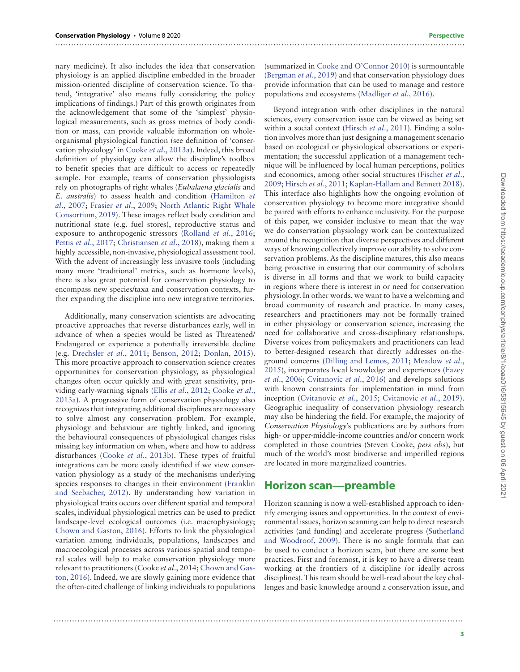nary medicine). It also includes the idea that conservation physiology is an applied discipline embedded in the broader mission-oriented discipline of conservation science. To thatend, 'integrative' also means fully considering the policy implications of findings.) Part of this growth originates from the acknowledgement that some of the 'simplest' physiological measurements, such as gross metrics of body condition or mass, can provide valuable information on wholeorganismal physiological function (see definition of 'conservation physiology' in Cooke et al[., 2013a\)](#page-13-2). Indeed, this broad definition of physiology can allow the discipline's toolbox to benefit species that are difficult to access or repeatedly sample. For example, teams of conservation physiologists rely on photographs of right whales (Eubalaena glacialis and E. australis[\) to assess health and condition \(Hamilton](#page-14-1) et al., 2007; Frasier et al[., 2009;](#page-14-2) North Atlantic Right Whale [Consortium, 2019\). These images reflect body condition and](#page-16-0) nutritional state (e.g. fuel stores), reproductive status and exposure to anthropogenic stressors [\(Rolland](#page-17-0) et al., 2016; Pettis et al[., 2017;](#page-16-1) [Christiansen](#page-12-0) et al., 2018), making them a highly accessible, non-invasive, physiological assessment tool. With the advent of increasingly less invasive tools (including many more 'traditional' metrics, such as hormone levels), there is also great potential for conservation physiology to encompass new species/taxa and conservation contexts, further expanding the discipline into new integrative territories.

Additionally, many conservation scientists are advocating proactive approaches that reverse disturbances early, well in advance of when a species would be listed as Threatened/ Endangered or experience a potentially irreversible decline (e.g. [Drechsler](#page-13-3) et al., 2011; [Benson, 2012;](#page-12-1) [Donlan, 2015\)](#page-13-4). This more proactive approach to conservation science creates opportunities for conservation physiology, as physiological changes often occur quickly and with great sensitivity, pro-viding early-warning signals (Ellis et al[., 2012;](#page-14-3) Cooke et al., [2013a\). A progressive form of conservation physiology also](#page-13-2) recognizes that integrating additional disciplines are necessary to solve almost any conservation problem. For example, physiology and behaviour are tightly linked, and ignoring the behavioural consequences of physiological changes risks missing key information on when, where and how to address disturbances (Cooke et al[., 2013b\)](#page-13-5). These types of fruitful integrations can be more easily identified if we view conservation physiology as a study of the mechanisms underlying species responses to changes in their environment (Franklin [and Seebacher, 2012\). By understanding how variation in](#page-14-0) physiological traits occurs over different spatial and temporal scales, individual physiological metrics can be used to predict landscape-level ecological outcomes (i.e. macrophysiology; [Chown and Gaston, 2016\)](#page-12-2). Efforts to link the physiological variation among individuals, populations, landscapes and macroecological processes across various spatial and temporal scales will help to make conservation physiology more relevant to practitioners (Cooke et al., 2014; Chown and Gas[ton, 2016\). Indeed, we are slowly gaining more evidence that](#page-12-2) the often-cited challenge of linking individuals to populations

(summarized in [Cooke and O'Connor 2010\)](#page-13-1) is surmountable [\(Bergman](#page-12-3) et al., 2019) and that conservation physiology does provide information that can be used to manage and restore populations and ecosystems [\(Madliger](#page-15-0) et al., 2016).

..........................................................................................................................................................

Beyond integration with other disciplines in the natural sciences, every conservation issue can be viewed as being set within a social context (Hirsch et al[., 2011\)](#page-14-4). Finding a solution involves more than just designing a management scenario based on ecological or physiological observations or experimentation; the successful application of a management technique will be influenced by local human perceptions, politics [and economics, among other social structures \(Fischer](#page-14-5) et al., 2009; Hirsch et al[., 2011;](#page-14-4) [Kaplan-Hallam and Bennett 2018\)](#page-15-1). This interface also highlights how the ongoing evolution of conservation physiology to become more integrative should be paired with efforts to enhance inclusivity. For the purpose of this paper, we consider inclusive to mean that the way we do conservation physiology work can be contextualized around the recognition that diverse perspectives and different ways of knowing collectively improve our ability to solve conservation problems. As the discipline matures, this also means being proactive in ensuring that our community of scholars is diverse in all forms and that we work to build capacity in regions where there is interest in or need for conservation physiology. In other words, we want to have a welcoming and broad community of research and practice. In many cases, researchers and practitioners may not be formally trained in either physiology or conservation science, increasing the need for collaborative and cross-disciplinary relationships. Diverse voices from policymakers and practitioners can lead to better-designed research that directly addresses on-theground concerns [\(Dilling and Lemos, 2011;](#page-13-6) Meadow et al., [2015\), incorporates local knowledge and experiences \(Fazey](#page-16-2) et al., 2006; [Cvitanovic](#page-13-7) et al., 2016) and develops solutions with known constraints for implementation in mind from inception [\(Cvitanovic](#page-13-8) et al., 2015; [Cvitanovic](#page-13-9) et al., 2019). Geographic inequality of conservation physiology research may also be hindering the field. For example, the majority of Conservation Physiology's publications are by authors from high- or upper-middle-income countries and/or concern work completed in those countries (Steven Cooke, pers obs), but much of the world's most biodiverse and imperilled regions are located in more marginalized countries.

# **Horizon scan—preamble**

..........................................................................................................................................................

Horizon scanning is now a well-established approach to identify emerging issues and opportunities. In the context of environmental issues, horizon scanning can help to direct research [activities \(and funding\) and accelerate progress \(Sutherland](#page-17-1) and Woodroof, 2009). There is no single formula that can be used to conduct a horizon scan, but there are some best practices. First and foremost, it is key to have a diverse team working at the frontiers of a discipline (or ideally across disciplines). This team should be well-read about the key challenges and basic knowledge around a conservation issue, and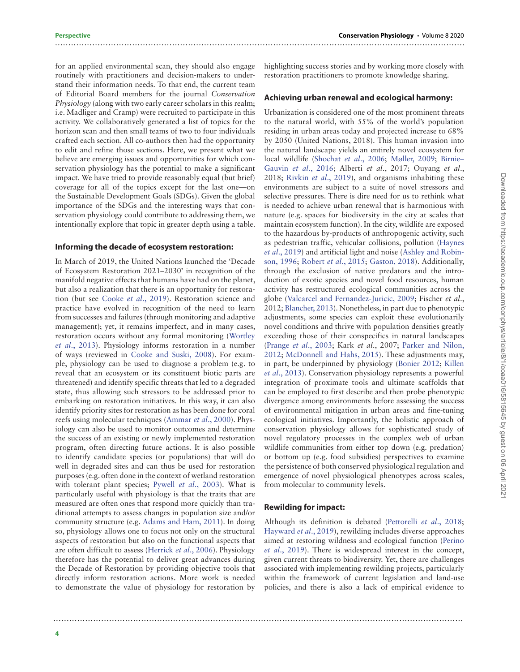for an applied environmental scan, they should also engage routinely with practitioners and decision-makers to understand their information needs. To that end, the current team of Editorial Board members for the journal Conservation Physiology (along with two early career scholars in this realm; i.e. Madliger and Cramp) were recruited to participate in this activity. We collaboratively generated a list of topics for the horizon scan and then small teams of two to four individuals crafted each section. All co-authors then had the opportunity to edit and refine those sections. Here, we present what we believe are emerging issues and opportunities for which conservation physiology has the potential to make a significant impact. We have tried to provide reasonably equal (but brief) coverage for all of the topics except for the last one—on the Sustainable Development Goals (SDGs). Given the global importance of the SDGs and the interesting ways that conservation physiology could contribute to addressing them, we intentionally explore that topic in greater depth using a table.

# **Informing the decade of ecosystem restoration:**

In March of 2019, the United Nations launched the 'Decade of Ecosystem Restoration 2021–2030' in recognition of the manifold negative effects that humans have had on the planet, but also a realization that there is an opportunity for restoration (but see Cooke et al[., 2019\)](#page-13-10). Restoration science and practice have evolved in recognition of the need to learn from successes and failures (through monitoring and adaptive management); yet, it remains imperfect, and in many cases, [restoration occurs without any formal monitoring \(Wortley](#page-18-1) et al., 2013). Physiology informs restoration in a number of ways (reviewed in [Cooke and Suski, 2008\)](#page-13-11). For example, physiology can be used to diagnose a problem (e.g. to reveal that an ecosystem or its constituent biotic parts are threatened) and identify specific threats that led to a degraded state, thus allowing such stressors to be addressed prior to embarking on restoration initiatives. In this way, it can also identify priority sites for restoration as has been done for coral reefs using molecular techniques [\(Ammar](#page-11-0) et al., 2000). Physiology can also be used to monitor outcomes and determine the success of an existing or newly implemented restoration program, often directing future actions. It is also possible to identify candidate species (or populations) that will do well in degraded sites and can thus be used for restoration purposes (e.g. often done in the context of wetland restoration with tolerant plant species; Pywell et al[., 2003\)](#page-17-2). What is particularly useful with physiology is that the traits that are measured are often ones that respond more quickly than traditional attempts to assess changes in population size and/or community structure (e.g. [Adams and Ham, 2011\)](#page-11-1). In doing so, physiology allows one to focus not only on the structural aspects of restoration but also on the functional aspects that are often difficult to assess [\(Herrick](#page-14-7) et al., 2006). Physiology therefore has the potential to deliver great advances during the Decade of Restoration by providing objective tools that directly inform restoration actions. More work is needed to demonstrate the value of physiology for restoration by

highlighting success stories and by working more closely with restoration practitioners to promote knowledge sharing.

# **Achieving urban renewal and ecological harmony:**

Urbanization is considered one of the most prominent threats to the natural world, with 55% of the world's population residing in urban areas today and projected increase to 68% by 2050 (United Nations, 2018). This human invasion into the natural landscape yields an entirely novel ecosystem for [local wildlife \(](#page-12-4)[Shochat](#page-17-3) et al., 2006; [Møller, 2009;](#page-16-3) Birnie– Gauvin et al., 2016; Alberti et al., 2017; Ouyang et al., 2018; Rivkin et al[., 2019\)](#page-17-4), and organisms inhabiting these environments are subject to a suite of novel stressors and selective pressures. There is dire need for us to rethink what is needed to achieve urban renewal that is harmonious with nature (e.g. spaces for biodiversity in the city at scales that maintain ecosystem function). In the city, wildlife are exposed to the hazardous by-products of anthropogenic activity, such [as pedestrian traffic, vehicular collisions, pollution \(Haynes](#page-14-8) et al[., 2019\) and artificial light and noise \(Ashley and Robin](#page-11-2)son, 1996; Robert et al[., 2015;](#page-17-5) [Gaston, 2018\)](#page-14-9). Additionally, through the exclusion of native predators and the introduction of exotic species and novel food resources, human activity has restructured ecological communities across the globe [\(Valcarcel and Fernandez-Juricic, 2009;](#page-18-2) Fischer et al., 2012; [Blancher, 2013\)](#page-12-5). Nonetheless, in part due to phenotypic adjustments, some species can exploit these evolutionarily novel conditions and thrive with population densities greatly exceeding those of their conspecifics in natural landscapes (Prange et al[., 2003;](#page-16-4) Kark et al., 2007; Parker and Nilon, 2012; [McDonnell and Hahs, 2015\). These adjustments may,](#page-16-5) in part, be underpinned by physiology [\(Bonier 2012;](#page-12-6) Killen et al[., 2013\). Conservation physiology represents a powerful](#page-15-2) integration of proximate tools and ultimate scaffolds that can be employed to first describe and then probe phenotypic divergence among environments before assessing the success of environmental mitigation in urban areas and fine-tuning ecological initiatives. Importantly, the holistic approach of conservation physiology allows for sophisticated study of novel regulatory processes in the complex web of urban wildlife communities from either top down (e.g. predation) or bottom up (e.g. food subsidies) perspectives to examine the persistence of both conserved physiological regulation and emergence of novel physiological phenotypes across scales, from molecular to community levels.

## **Rewilding for impact:**

..........................................................................................................................................................

Although its definition is debated [\(Pettorelli](#page-16-7) et al., 2018; [Hayward](#page-14-10) et al., 2019), rewilding includes diverse approaches [aimed at restoring wildness and ecological function \(Perino](#page-16-8) et al., 2019). There is widespread interest in the concept, given current threats to biodiversity. Yet, there are challenges associated with implementing rewilding projects, particularly within the framework of current legislation and land-use policies, and there is also a lack of empirical evidence to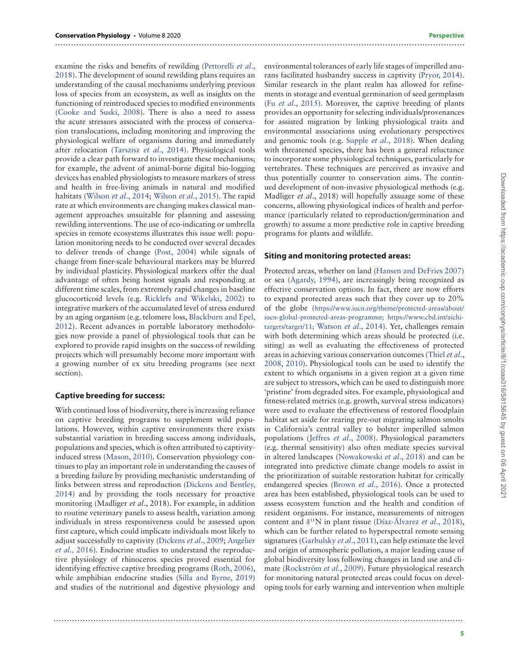examine the risks and benefits of rewilding (Pettorelli et al., [2018\). The development of sound rewilding plans requires an](#page-16-7) understanding of the causal mechanisms underlying previous loss of species from an ecosystem, as well as insights on the functioning of reintroduced species to modified environments [\(Cooke and Suski, 2008\)](#page-13-11). There is also a need to assess the acute stressors associated with the process of conservation translocations, including monitoring and improving the physiological welfare of organisms during and immediately after relocation [\(Tarszisz](#page-17-6) et al., 2014). Physiological tools provide a clear path forward to investigate these mechanisms; for example, the advent of animal-borne digital bio-logging devices has enabled physiologists to measure markers of stress and health in free-living animals in natural and modified habitats (Wilson et al[., 2014;](#page-18-3) Wilson et al[., 2015\)](#page-18-4). The rapid rate at which environments are changing makes classical management approaches unsuitable for planning and assessing rewilding interventions. The use of eco-indicating or umbrella species in remote ecosystems illustrates this issue well: population monitoring needs to be conducted over several decades to deliver trends of change [\(Post, 2004\)](#page-16-9) while signals of change from finer-scale behavioural markers may be blurred by individual plasticity. Physiological markers offer the dual advantage of often being honest signals and responding at different time scales, from extremely rapid changes in baseline glucocorticoid levels (e.g. [Ricklefs and Wikelski, 2002\)](#page-17-7) to integrative markers of the accumulated level of stress endured by an aging organism (e.g. telomere loss, Blackburn and Epel, [2012\). Recent advances in portable laboratory methodolo](#page-12-7)gies now provide a panel of physiological tools that can be explored to provide rapid insights on the success of rewilding projects which will presumably become more important with a growing number of ex situ breeding programs (see next section).

## **Captive breeding for success:**

With continued loss of biodiversity, there is increasing reliance on captive breeding programs to supplement wild populations. However, within captive environments there exists substantial variation in breeding success among individuals, populations and species, which is often attributed to captivityinduced stress [\(Mason, 2010\)](#page-16-10). Conservation physiology continues to play an important role in understanding the causes of a breeding failure by providing mechanistic understanding of [links between stress and reproduction \(Dickens and Bentley,](#page-13-12) 2014) and by providing the tools necessary for proactive monitoring (Madliger et al., 2018). For example, in addition to routine veterinary panels to assess health, variation among individuals in stress responsiveness could be assessed upon first capture, which could implicate individuals most likely to adjust successfully to captivity [\(Dickens](#page-13-13) et al., 2009; Angelier et al., [2016\). Endocrine studies to understand the reproduc](#page-11-3)tive physiology of rhinoceros species proved essential for identifying effective captive breeding programs [\(Roth, 2006\)](#page-17-8), while amphibian endocrine studies [\(Silla and Byrne, 2019\)](#page-17-9) and studies of the nutritional and digestive physiology and

..........................................................................................................................................................

environmental tolerances of early life stages of imperilled anurans facilitated husbandry success in captivity [\(Pryor, 2014\)](#page-17-10). Similar research in the plant realm has allowed for refinements in storage and eventual germination of seed germplasm (Fu et al[., 2015\)](#page-14-11). Moreover, the captive breeding of plants provides an opportunity for selecting individuals/provenances for assisted migration by linking physiological traits and environmental associations using evolutionary perspectives and genomic tools (e.g. Supple et al[., 2018\)](#page-17-11). When dealing with threatened species, there has been a general reluctance to incorporate some physiological techniques, particularly for vertebrates. These techniques are perceived as invasive and thus potentially counter to conservation aims. The continued development of non-invasive physiological methods (e.g. Madliger *et al.*, 2018) will hopefully assuage some of these concerns, allowing physiological indices of health and performance (particularly related to reproduction/germination and growth) to assume a more predictive role in captive breeding programs for plants and wildlife.

## **Siting and monitoring protected areas:**

..........................................................................................................................................................

Protected areas, whether on land [\(Hansen and DeFries 2007\)](#page-14-12) or sea [\(Agardy, 1994\)](#page-11-4), are increasingly being recognized as effective conservation options. In fact, there are now efforts to expand protected areas such that they cover up to 20% of the globe [\(https://www.iucn.org/theme/protected-areas/about/](https://www.iucn.org/theme/protected-areas/about/iucn-global-protected-areas-programme;) [iucn-global-protected-areas-programme;](https://www.iucn.org/theme/protected-areas/about/iucn-global-protected-areas-programme;) [https://www.cbd.int/aichi](https://www.cbd.int/aichi-targets/target/11;)[targets/target/11;](https://www.cbd.int/aichi-targets/target/11;) [Watson](#page-18-5) et al., 2014). Yet, challenges remain with both determining which areas should be protected (i.e. siting) as well as evaluating the effectiveness of protected [areas in achieving various conservation outcomes \(Thiel](#page-17-12) et al., 2008, [2010\)](#page-17-13). Physiological tools can be used to identify the extent to which organisms in a given region at a given time are subject to stressors, which can be used to distinguish more 'pristine' from degraded sites. For example, physiological and fitness-related metrics (e.g. growth, survival stress indicators) were used to evaluate the effectiveness of restored floodplain habitat set aside for rearing pre-out migrating salmon smolts in California's central valley to bolster imperilled salmon populations (Jeffres et al[., 2008\)](#page-15-3). Physiological parameters (e.g. thermal sensitivity) also often mediate species survival in altered landscapes [\(Nowakowski](#page-16-11) et al., 2018) and can be integrated into predictive climate change models to assist in the prioritization of suitable restoration habitat for critically endangered species (Brown et al[., 2016\)](#page-12-8). Once a protected area has been established, physiological tools can be used to assess ecosystem function and the health and condition of resident organisms. For instance, measurements of nitrogen content and *δ*15N in plant tissue [\(Díaz-Álvarez](#page-13-14) et al., 2018), which can be further related to hyperspectral remote sensing signatures [\(Garbulsky](#page-14-13) et al., 2011), can help estimate the level and origin of atmospheric pollution, a major leading cause of global biodiversity loss following changes in land use and climate [\(Rockström](#page-17-14) et al., 2009). Future physiological research for monitoring natural protected areas could focus on developing tools for early warning and intervention when multiple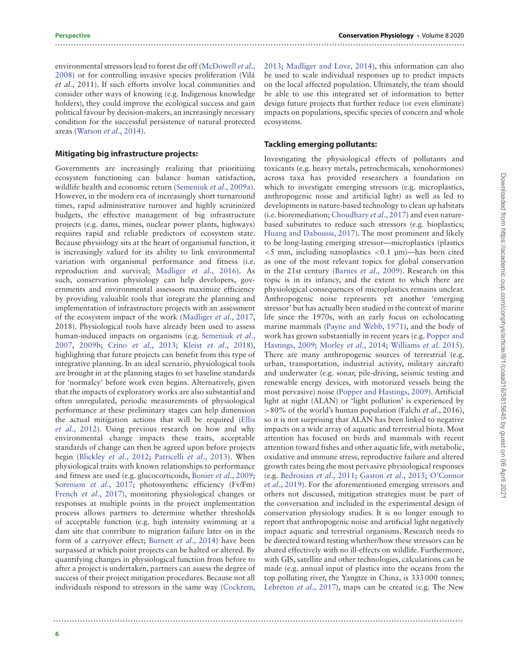environmental stressors lead to forest die off (McDowell et al., [2008\) or for controlling invasive species proliferation \(Vilá](#page-16-12) et al., 2011). If such efforts involve local communities and consider other ways of knowing (e.g. Indigenous knowledge holders), they could improve the ecological success and gain political favour by decision-makers, an increasingly necessary condition for the successful persistence of natural protected areas [\(Watson](#page-18-5) et al., 2014).

## **Mitigating big infrastructure projects:**

Governments are increasingly realizing that prioritizing ecosystem functioning can balance human satisfaction, wildlife health and economic return [\(Semeniuk](#page-17-15) et al., 2009a). However, in the modern era of increasingly short turnaround times, rapid administrative turnover and highly scrutinized budgets, the effective management of big infrastructure projects (e.g. dams, mines, nuclear power plants, highways) requires rapid and reliable predictors of ecosystem state. Because physiology sits at the heart of organismal function, it is increasingly valued for its ability to link environmental variation with organismal performance and fitness (i.e. reproduction and survival; [Madliger](#page-15-0) et al., 2016). As such, conservation physiology can help developers, governments and environmental assessors maximize efficiency by providing valuable tools that integrate the planning and implementation of infrastructure projects with an assessment of the ecosystem impact of the work [\(Madliger](#page-15-4) et al., 2017, 2018). Physiological tools have already been used to assess [human-induced impacts on organisms \(e.g.](#page-17-16) Semeniuk et al., 2007, [2009b;](#page-17-17) Crino et al[., 2013;](#page-13-15) Kleist et al[., 2018\)](#page-15-5), highlighting that future projects can benefit from this type of integrative planning. In an ideal scenario, physiological tools are brought in at the planning stages to set baseline standards for 'normalcy' before work even begins. Alternatively, given that the impacts of exploratory works are also substantial and often unregulated, periodic measurements of physiological performance at these preliminary stages can help dimension [the actual mitigation actions that will be required \(Ellis](#page-14-3) et al., 2012). Using previous research on how and why environmental change impacts these traits, acceptable standards of change can then be agreed upon before projects begin [\(Blickley](#page-12-9) et al., 2012; [Patricelli](#page-16-13) et al., 2013). When physiological traits with known relationships to performance and fitness are used (e.g. glucocorticoids, Bonier et al[., 2009;](#page-12-10) [Sorenson](#page-17-18) et al., 2017; photosynthetic efficiency (Fv/Fm) French et al[., 2017\)](#page-15-6), monitoring physiological changes or responses at multiple points in the project implementation process allows partners to determine whether thresholds of acceptable function (e.g. high intensity swimming at a dam site that contribute to migration failure later on in the form of a carryover effect; Burnett et al[., 2014\)](#page-12-11) have been surpassed at which point projects can be halted or altered. By quantifying changes in physiological function from before to after a project is undertaken, partners can assess the degree of success of their project mitigation procedures. Because not all individuals respond to stressors in the same way [\(Cockrem,](#page-12-12)

[2013;](#page-12-12) [Madliger and Love, 2014\)](#page-15-7), this information can also be used to scale individual responses up to predict impacts on the local affected population. Ultimately, the team should be able to use this integrated set of information to better design future projects that further reduce (or even eliminate) impacts on populations, specific species of concern and whole ecosystems.

# **Tackling emerging pollutants:**

..........................................................................................................................................................

..........................................................................................................................................................

Investigating the physiological effects of pollutants and toxicants (e.g. heavy metals, petrochemicals, xenohormones) across taxa has provided researchers a foundation on which to investigate emerging stressors (e.g. microplastics, anthropogenic noise and artificial light) as well as led to developments in nature-based technology to clean up habitats (i.e. bioremediation; [Choudhary](#page-12-13) et al., 2017) and even naturebased substitutes to reduce such stressors (e.g. bioplastics; [Huang and Daboussi, 2017\)](#page-15-8). The most prominent and likely to be long-lasting emerging stressor—microplastics (plastics *<*5 mm, including nanoplastics *<*0.1 μm)—has been cited as one of the most relevant topics for global conservation in the 21st century (Barnes et al[., 2009\)](#page-11-5). Research on this topic is in its infancy, and the extent to which there are physiological consequences of microplastics remains unclear. Anthropogenic noise represents yet another 'emerging stressor' but has actually been studied in the context of marine life since the 1970s, with an early focus on echolocating marine mammals [\(Payne and Webb, 1971\)](#page-16-14), and the body of [work has grown substantially in recent years \(e.g.](#page-16-15) Popper and Hastings, 2009; Morley et al[., 2014;](#page-16-16) [Williams](#page-18-6) et al. 2015). There are many anthropogenic sources of terrestrial (e.g. urban, transportation, industrial activity, military aircraft) and underwater (e.g. sonar, pile-driving, seismic testing and renewable energy devices, with motorized vessels being the most pervasive) noise [\(Popper and Hastings, 2009\)](#page-16-15). Artificial light at night (ALAN) or 'light pollution' is experienced by *>*80% of the world's human population (Falchi et al., 2016), so it is not surprising that ALAN has been linked to negative impacts on a wide array of aquatic and terrestrial biota. Most attention has focused on birds and mammals with recent attention toward fishes and other aquatic life, with metabolic, oxidative and immune stress, reproductive failure and altered growth rates being the most pervasive physiological responses (e.g. [Bedrosian](#page-12-14) et al., 2011; Gaston et al[., 2015;](#page-14-14) O'Connor et al[., 2019\). For the aforementioned emerging stressors and](#page-16-17) others not discussed, mitigation strategies must be part of the conversation and included in the experimental design of conservation physiology studies. It is no longer enough to report that anthropogenic noise and artificial light negatively impact aquatic and terrestrial organisms. Research needs to be directed toward testing whether/how these stressors can be abated effectively with no ill-effects on wildlife. Furthermore, with GIS, satellite and other technologies, calculations can be made (e.g. annual input of plastics into the oceans from the top polluting river, the Yangtze in China, is 333 000 tonnes; [Lebreton](#page-15-9) et al., 2017), maps can be created (e.g. The New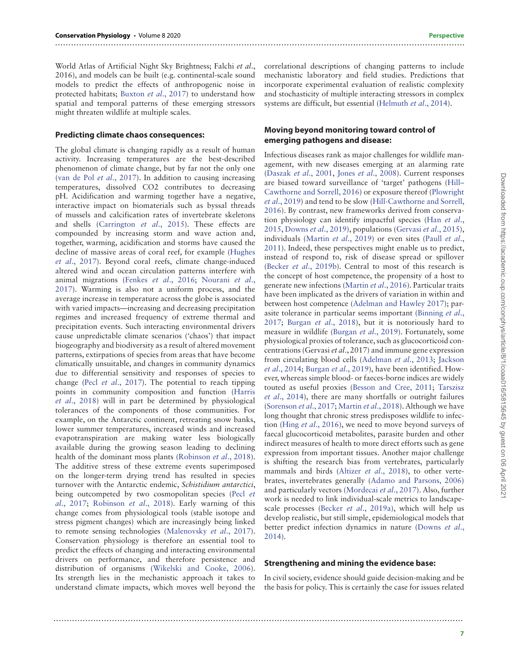World Atlas of Artificial Night Sky Brightness; Falchi et al., 2016), and models can be built (e.g. continental-scale sound models to predict the effects of anthropogenic noise in protected habitats; Buxton et al[., 2017\)](#page-12-15) to understand how spatial and temporal patterns of these emerging stressors might threaten wildlife at multiple scales.

# **Predicting climate chaos consequences:**

The global climate is changing rapidly as a result of human activity. Increasing temperatures are the best-described phenomenon of climate change, but by far not the only one [\(van de Pol](#page-18-7) et al., 2017). In addition to causing increasing temperatures, dissolved CO2 contributes to decreasing pH. Acidification and warming together have a negative, interactive impact on biomaterials such as byssal threads of mussels and calcification rates of invertebrate skeletons and shells [\(Carrington](#page-12-16) et al., 2015). These effects are compounded by increasing storm and wave action and, together, warming, acidification and storms have caused the [decline of massive areas of coral reef, for example \(Hughes](#page-15-10) et al., 2017). Beyond coral reefs, climate change-induced altered wind and ocean circulation patterns interfere with animal migrations (Fenkes et al[., 2016;](#page-14-15) Nourani et al., [2017\). Warming is also not a uniform process, and the](#page-16-18) average increase in temperature across the globe is associated with varied impacts—increasing and decreasing precipitation regimes and increased frequency of extreme thermal and precipitation events. Such interacting environmental drivers cause unpredictable climate scenarios ('chaos') that impact biogeography and biodiversity as a result of altered movement patterns, extirpations of species from areas that have become climatically unsuitable, and changes in community dynamics due to differential sensitivity and responses of species to change (Pecl et al[., 2017\)](#page-16-19). The potential to reach tipping [points in community composition and function \(Harris](#page-14-16) et al., 2018) will in part be determined by physiological tolerances of the components of those communities. For example, on the Antarctic continent, retreating snow banks, lower summer temperatures, increased winds and increased evapotranspiration are making water less biologically available during the growing season leading to declining health of the dominant moss plants [\(Robinson](#page-17-19) et al., 2018). The additive stress of these extreme events superimposed on the longer-term drying trend has resulted in species turnover with the Antarctic endemic, Schistidium antarctici, [being outcompeted by two cosmopolitan species \(Pecl](#page-16-19) et al., 2017; [Robinson](#page-17-19) et al., 2018). Early warning of this change comes from physiological tools (stable isotope and stress pigment changes) which are increasingly being linked to remote sensing technologies [\(Malenovsky](#page-15-11) et al., 2017). Conservation physiology is therefore an essential tool to predict the effects of changing and interacting environmental drivers on performance, and therefore persistence and distribution of organisms [\(Wikelski and Cooke, 2006\)](#page-18-0). Its strength lies in the mechanistic approach it takes to understand climate impacts, which moves well beyond the

correlational descriptions of changing patterns to include mechanistic laboratory and field studies. Predictions that incorporate experimental evaluation of realistic complexity and stochasticity of multiple interacting stressors in complex systems are difficult, but essential [\(Helmuth](#page-14-17) et al., 2014).

# **Moving beyond monitoring toward control of emerging pathogens and disease:**

Infectious diseases rank as major challenges for wildlife management, with new diseases emerging at an alarming rate [\(Daszak](#page-13-16) et al., 2001, Jones et al[., 2008\)](#page-15-12). Current responses [are biased toward surveillance of 'target' pathogens \(Hill–](#page-14-18) [Cawthorne and Sorrell, 2016\) or exposure thereof \(Plowright](#page-16-20) et al., 2019) and tend to be slow (Hill-Cawthorne and Sorrell, [2016\). By contrast, new frameworks derived from conserva](#page-14-18)[tion physiology can identify impactful species \(Han](#page-14-19) et al., 2015, Downs et al[., 2019\)](#page-13-17), populations [\(Gervasi](#page-14-20) et al., 2015), individuals (Martin et al[., 2019\)](#page-15-13) or even sites (Paull et al., [2011\). Indeed, these perspectives might enable us to predict,](#page-16-21) instead of respond to, risk of disease spread or spillover (Becker et al[., 2019b\)](#page-12-17). Central to most of this research is the concept of host competence, the propensity of a host to generate new infections [\(Martin](#page-16-22) et al., 2016). Particular traits have been implicated as the drivers of variation in within and between host competence [\(Adelman and Hawley 2017\)](#page-11-6); par[asite tolerance in particular seems important \(Binning](#page-12-18) et al., 2017; Burgan et al[., 2018\)](#page-12-19), but it is notoriously hard to measure in wildlife [\(Burgan](#page-12-20) et al., 2019). Fortunately, some physiological proxies of tolerance, such as glucocorticoid concentrations (Gervasi et al., 2017) and immune gene expression [from circulating blood cells \(](#page-15-14)[Adelman](#page-11-7) et al., 2013; Jackson et al., 2014; Burgan et al[., 2019\)](#page-12-20), have been identified. However, whereas simple blood- or faeces-borne indices are widely touted as useful proxies [\(Besson and Cree, 2011;](#page-12-21) Tarszisz et al[., 2014\), there are many shortfalls or outright failures](#page-17-6) [\(Sorenson](#page-17-18) et al., 2017; Martin et al[., 2018\)](#page-15-15). Although we have long thought that chronic stress predisposes wildlife to infection (Hing et al[., 2016\)](#page-14-21), we need to move beyond surveys of faecal glucocorticoid metabolites, parasite burden and other indirect measures of health to more direct efforts such as gene expression from important tissues. Another major challenge is shifting the research bias from vertebrates, particularly mammals and birds (Altizer et al[., 2018\)](#page-11-8), to other vertebrates, invertebrates generally [\(Adamo and Parsons, 2006\)](#page-11-9) and particularly vectors [\(Mordecai](#page-16-23) et al., 2017). Also, further work is needed to link individual-scale metrics to landscape-scale processes (Becker et al[., 2019a\)](#page-12-22), which will help us develop realistic, but still simple, epidemiological models that [better predict infection dynamics in nature \(Downs](#page-13-18) et al., 2014).

# **Strengthening and mining the evidence base:**

..........................................................................................................................................................

In civil society, evidence should guide decision-making and be the basis for policy. This is certainly the case for issues related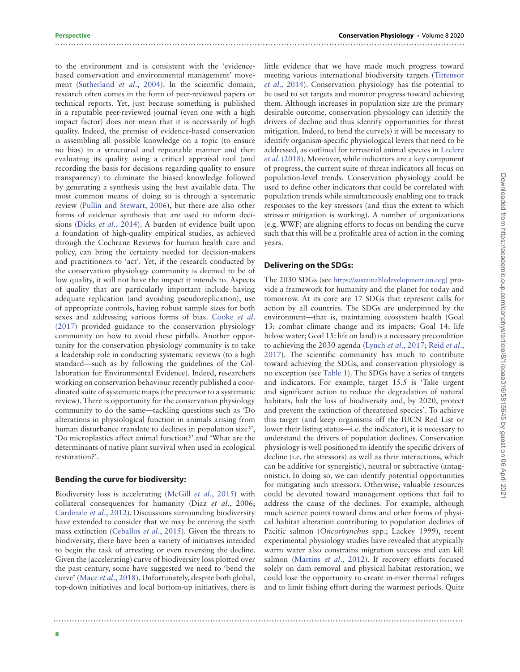to the environment and is consistent with the 'evidencebased conservation and environmental management' movement [\(Sutherland](#page-17-20) et al., 2004). In the scientific domain, research often comes in the form of peer-reviewed papers or technical reports. Yet, just because something is published in a reputable peer-reviewed journal (even one with a high impact factor) does not mean that it is necessarily of high quality. Indeed, the premise of evidence-based conservation is assembling all possible knowledge on a topic (to ensure no bias) in a structured and repeatable manner and then evaluating its quality using a critical appraisal tool (and recording the basis for decisions regarding quality to ensure transparency) to eliminate the biased knowledge followed by generating a synthesis using the best available data. The most common means of doing so is through a systematic review [\(Pullin and Stewart, 2006\)](#page-17-21), but there are also other forms of evidence synthesis that are used to inform decisions (Dicks et al[., 2014\)](#page-13-19). A burden of evidence built upon a foundation of high-quality empirical studies, as achieved through the Cochrane Reviews for human health care and policy, can bring the certainty needed for decision-makers and practitioners to 'act'. Yet, if the research conducted by the conservation physiology community is deemed to be of low quality, it will not have the impact it intends to. Aspects of quality that are particularly important include having adequate replication (and avoiding pseudoreplication), use of appropriate controls, having robust sample sizes for both sexes and addressing various forms of bias. Cooke et al. [\(2017\) provided guidance to the conservation physiology](#page-12-23) community on how to avoid these pitfalls. Another opportunity for the conservation physiology community is to take a leadership role in conducting systematic reviews (to a high standard—such as by following the guidelines of the Collaboration for Environmental Evidence). Indeed, researchers working on conservation behaviour recently published a coordinated suite of systematic maps (the precursor to a systematic review). There is opportunity for the conservation physiology community to do the same—tackling questions such as 'Do alterations in physiological function in animals arising from human disturbance translate to declines in population size?', 'Do microplastics affect animal function?' and 'What are the determinants of native plant survival when used in ecological restoration?'.

## **Bending the curve for biodiversity:**

Biodiversity loss is accelerating (McGill et al[., 2015\)](#page-16-24) with collateral consequences for humanity (Diaz et al., 2006; [Cardinale](#page-12-24) et al., 2012). Discussions surrounding biodiversity have extended to consider that we may be entering the sixth mass extinction [\(Ceballos](#page-12-25) et al., 2015). Given the threats to biodiversity, there have been a variety of initiatives intended to begin the task of arresting or even reversing the decline. Given the (accelerating) curve of biodiversity loss plotted over the past century, some have suggested we need to 'bend the curve' (Mace et al[., 2018\)](#page-15-16). Unfortunately, despite both global, top-down initiatives and local bottom-up initiatives, there is

little evidence that we have made much progress toward [meeting various international biodiversity targets \(Tittensor](#page-18-8) et al., 2014). Conservation physiology has the potential to be used to set targets and monitor progress toward achieving them. Although increases in population size are the primary desirable outcome, conservation physiology can identify the drivers of decline and thus identify opportunities for threat mitigation. Indeed, to bend the curve(s) it will be necessary to identify organism-specific physiological levers that need to be addressed, as outlined for terrestrial animal species in Leclere et al[. \(2018\). Moreover, while indicators are a key component](#page-15-17) of progress, the current suite of threat indicators all focus on population-level trends. Conservation physiology could be used to define other indicators that could be correlated with population trends while simultaneously enabling one to track responses to the key stressors (and thus the extent to which stressor mitigation is working). A number of organizations (e.g. WWF) are aligning efforts to focus on bending the curve such that this will be a profitable area of action in the coming years.

# **Delivering on the SDGs:**

..........................................................................................................................................................

..........................................................................................................................................................

The 2030 SDGs (see [https://sustainabledevelopment.un.org\)](https://sustainabledevelopment.un.org) provide a framework for humanity and the planet for today and tomorrow. At its core are 17 SDGs that represent calls for action by all countries. The SDGs are underpinned by the environment—that is, maintaining ecosystem health (Goal 13: combat climate change and its impacts; Goal 14: life below water; Goal 15: life on land) is a necessary precondition to achieving the 2030 agenda (Lynch et al[., 2017;](#page-15-18) Reid et al., [2017\). The scientific community has much to contribute](#page-17-22) toward achieving the SDGs, and conservation physiology is no exception (see [Table 1\)](#page-8-0). The SDGs have a series of targets and indicators. For example, target 15.5 is 'Take urgent and significant action to reduce the degradation of natural habitats, halt the loss of biodiversity and, by 2020, protect and prevent the extinction of threatened species'. To achieve this target (and keep organisms off the IUCN Red List or lower their listing status—i.e. the indicator), it is necessary to understand the drivers of population declines. Conservation physiology is well positioned to identify the specific drivers of decline (i.e. the stressors) as well as their interactions, which can be additive (or synergistic), neutral or subtractive (antagonistic). In doing so, we can identify potential opportunities for mitigating such stressors. Otherwise, valuable resources could be devoted toward management options that fail to address the cause of the declines. For example, although much science points toward dams and other forms of physical habitat alteration contributing to population declines of Pacific salmon (Oncorhynchus spp.; Lackey 1999), recent experimental physiology studies have revealed that atypically warm water also constrains migration success and can kill salmon [\(Martins](#page-16-25) et al., 2012). If recovery efforts focused solely on dam removal and physical habitat restoration, we could lose the opportunity to create in-river thermal refuges and to limit fishing effort during the warmest periods. Quite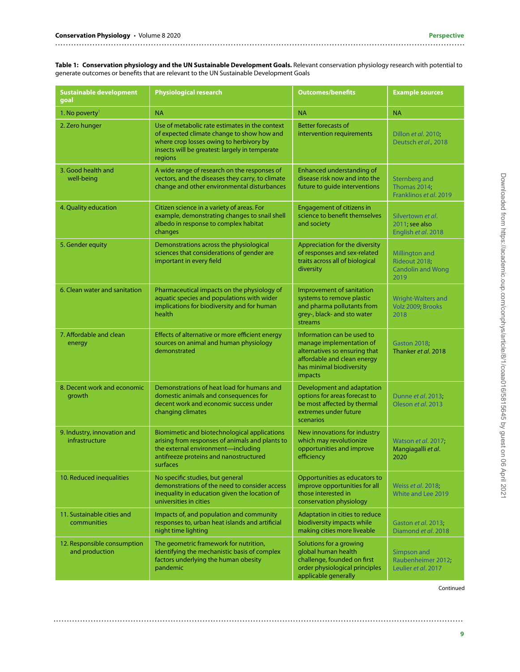| <b>Sustainable development</b><br>goal        | <b>Physiological research</b>                                                                                                                                                                        | <b>Outcomes/benefits</b>                                                                                                                                      | <b>Example sources</b>                                                |
|-----------------------------------------------|------------------------------------------------------------------------------------------------------------------------------------------------------------------------------------------------------|---------------------------------------------------------------------------------------------------------------------------------------------------------------|-----------------------------------------------------------------------|
| 1. No poverty <sup>1</sup>                    | <b>NA</b>                                                                                                                                                                                            | <b>NA</b>                                                                                                                                                     | <b>NA</b>                                                             |
| 2. Zero hunger                                | Use of metabolic rate estimates in the context<br>of expected climate change to show how and<br>where crop losses owing to herbivory by<br>insects will be greatest: largely in temperate<br>regions | <b>Better forecasts of</b><br>intervention requirements                                                                                                       | Dillon et al. 2010:<br>Deutsch et al., 2018                           |
| 3. Good health and<br>well-being              | A wide range of research on the responses of<br>vectors, and the diseases they carry, to climate<br>change and other environmental disturbances                                                      | Enhanced understanding of<br>disease risk now and into the<br>future to quide interventions                                                                   | <b>Sternberg and</b><br><b>Thomas 2014;</b><br>Franklinos et al. 2019 |
| 4. Quality education                          | Citizen science in a variety of areas. For<br>example, demonstrating changes to snail shell<br>albedo in response to complex habitat<br>changes                                                      | Engagement of citizens in<br>science to benefit themselves<br>and society                                                                                     | Silvertown et al.<br>2011; see also<br>English et al. 2018            |
| 5. Gender equity                              | Demonstrations across the physiological<br>sciences that considerations of gender are<br>important in every field                                                                                    | Appreciation for the diversity<br>of responses and sex-related<br>traits across all of biological<br>diversity                                                | Millington and<br>Rideout 2018;<br><b>Candolin and Wong</b><br>2019   |
| 6. Clean water and sanitation                 | Pharmaceutical impacts on the physiology of<br>aquatic species and populations with wider<br>implications for biodiversity and for human<br>health                                                   | Improvement of sanitation<br>systems to remove plastic<br>and pharma pollutants from<br>grey-, black- and sto water<br>streams                                | Wright-Walters and<br>Volz 2009; Brooks<br>2018                       |
| 7. Affordable and clean<br>energy             | Effects of alternative or more efficient energy<br>sources on animal and human physiology<br>demonstrated                                                                                            | Information can be used to<br>manage implementation of<br>alternatives so ensuring that<br>affordable and clean energy<br>has minimal biodiversity<br>impacts | <b>Gaston 2018;</b><br>Thanker et al. 2018                            |
| 8. Decent work and economic<br>growth         | Demonstrations of heat load for humans and<br>domestic animals and consequences for<br>decent work and economic success under<br>changing climates                                                   | Development and adaptation<br>options for areas forecast to<br>be most affected by thermal<br>extremes under future<br>scenarios                              | Dunne et al. 2013;<br>Oleson et al. 2013                              |
| 9. Industry, innovation and<br>infrastructure | Biomimetic and biotechnological applications<br>arising from responses of animals and plants to<br>the external environment-including<br>antifreeze proteins and nanostructured<br>surfaces          | New innovations for industry<br>which may revolutionize<br>opportunities and improve<br>efficiency                                                            | Watson et al. 2017;<br>Mangiagalli et al.<br>2020                     |
| 10. Reduced inequalities                      | No specific studies, but general<br>demonstrations of the need to consider access<br>inequality in education given the location of<br>universities in cities                                         | Opportunities as educators to<br>improve opportunities for all<br>those interested in<br>conservation physiology                                              | Weiss et al. 2018;<br>White and Lee 2019                              |
| 11. Sustainable cities and<br>communities     | Impacts of, and population and community<br>responses to, urban heat islands and artificial<br>night time lighting                                                                                   | Adaptation in cities to reduce<br>biodiversity impacts while<br>making cities more liveable                                                                   | Gaston et al. 2013;<br>Diamond et al. 2018                            |
| 12. Responsible consumption<br>and production | The geometric framework for nutrition,<br>identifying the mechanistic basis of complex<br>factors underlying the human obesity                                                                       | Solutions for a growing<br>global human health<br>challenge, founded on first                                                                                 | Simpson and<br>Raubenheimer 2012,                                     |

pandemic

<span id="page-8-0"></span>**Table 1: Conservation physiology and the UN Sustainable Development Goals.** Relevant conservation physiology research with potential to generate outcomes or benefits that are relevant to the UN Sustainable Development Goals

..........................................................................................................................................................

Continued

[Leulier](#page-15-19) et al. 2017

order physiological principles applicable generally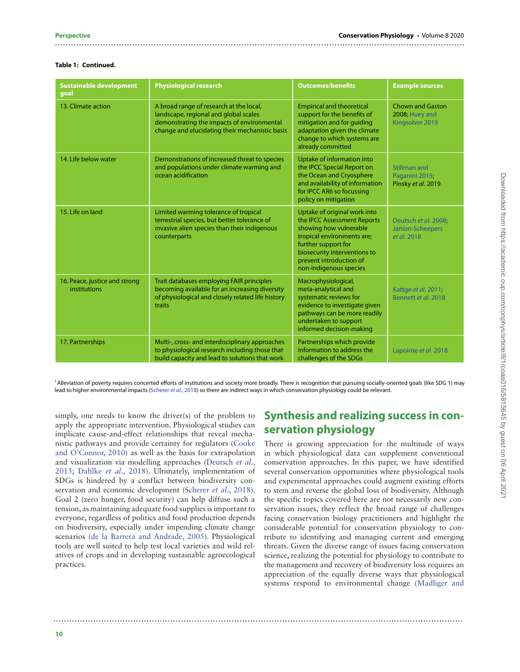### **Table 1: Continued.**

| <b>Sustainable development</b><br>qoal        | <b>Physiological research</b>                                                                                                                                                    | <b>Outcomes/benefits</b>                                                                                                                                                                                                        | <b>Example sources</b>                                       |
|-----------------------------------------------|----------------------------------------------------------------------------------------------------------------------------------------------------------------------------------|---------------------------------------------------------------------------------------------------------------------------------------------------------------------------------------------------------------------------------|--------------------------------------------------------------|
| 13. Climate action                            | A broad range of research at the local,<br>landscape, regional and global scales<br>demonstrating the impacts of environmental<br>change and elucidating their mechanistic basis | <b>Empirical and theoretical</b><br>support for the benefits of<br>mitigation and for guiding<br>adaptation given the climate<br>change to which systems are<br>already committed                                               | <b>Chown and Gaston</b><br>2008; Huey and<br>Kingsolver 2019 |
| 14. Life below water                          | Demonstrations of increased threat to species<br>and populations under climate warming and<br>ocean acidification                                                                | Uptake of information into<br>the IPCC Special Report on<br>the Ocean and Cryosphere<br>and availability of information<br>for IPCC AR6 so focussing<br>policy on mitigation                                                    | Stillman and<br>Paganini 2015;<br>Pinsky et al. 2019         |
| 15. Life on land                              | Limited warming tolerance of tropical<br>terrestrial species, but better tolerance of<br>invasive alien species than their indigenous<br>counterparts                            | Uptake of original work into<br>the IPCC Assessment Reports<br>showing how vulnerable<br>tropical environments are;<br>further support for<br>biosecurity interventions to<br>prevent introduction of<br>non-indigenous species | Deutsch et al. 2008:<br>Janion-Scheepers<br>et al. 2018      |
| 16. Peace, justice and strong<br>institutions | Trait databases employing FAIR principles<br>becoming available for an increasing diversity<br>of physiological and closely related life history<br>traits                       | Macrophysiological,<br>meta-analytical and<br>systematic reviews for<br>evidence to investigate given<br>pathways can be more readily<br>undertaken to support<br>informed decision-making                                      | Kattge et al. 2011;<br>Bennett et al. 2018                   |
| 17. Partnerships                              | Multi-, cross- and interdisciplinary approaches<br>to physiological research including those that<br>build capacity and lead to solutions that work                              | Partnerships which provide<br>information to address the<br>challenges of the SDGs                                                                                                                                              | Lapointe et al. 2018                                         |

..........................................................................................................................................................

<sup>1</sup> Alleviation of poverty requires concerted efforts of institutions and society more broadly. There is recognition that pursuing socially-oriented goals (like SDG 1) may lead to higher environmental impacts [\(Scherer](#page-17-27) et al., 2018) so there are indirect ways in which conservation physiology could be relevant.

..........................................................................................................................................................

simply, one needs to know the driver(s) of the problem to apply the appropriate intervention. Physiological studies can implicate cause-and-effect relationships that reveal mechanistic pathways and provide certainty for regulators (Cooke [and O'Connor, 2010\) as well as the basis for extrapolation](#page-13-1) [and visualization via modelling approaches \(Deutsch](#page-13-25) et al., 2015; Dahlke et al[., 2018\)](#page-13-26). Ultimately, implementation of SDGs is hindered by a conflict between biodiversity con-servation and economic development [\(Scherer](#page-17-27) et al., 2018). Goal 2 (zero hunger, food security) can help diffuse such a tension, as maintaining adequate food supplies is important to everyone, regardless of politics and food production depends on biodiversity, especially under impending climate change scenarios [\(de la Barrera and Andrade, 2005\)](#page-13-27). Physiological tools are well suited to help test local varieties and wild relatives of crops and in developing sustainable agroecological practices.

# **Synthesis and realizing success in conservation physiology**

There is growing appreciation for the multitude of ways in which physiological data can supplement conventional conservation approaches. In this paper, we have identified several conservation opportunities where physiological tools and experimental approaches could augment existing efforts to stem and reverse the global loss of biodiversity. Although the specific topics covered here are not necessarily new conservation issues, they reflect the broad range of challenges facing conservation biology practitioners and highlight the considerable potential for conservation physiology to contribute to identifying and managing current and emerging threats. Given the diverse range of issues facing conservation science, realizing the potential for physiology to contribute to the management and recovery of biodiversity loss requires an appreciation of the equally diverse ways that physiological systems respond to environmental change [\(Madliger and](#page-15-24)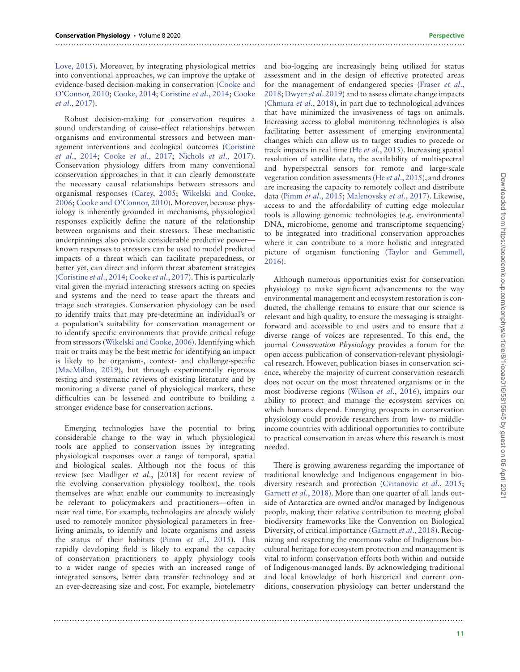[Love, 2015\)](#page-15-24). Moreover, by integrating physiological metrics into conventional approaches, we can improve the uptake of [evidence-based decision-making in conservation \(Cooke and](#page-13-1) [O'Connor, 2010;](#page-12-23) [Cooke, 2014;](#page-12-29) [Coristine](#page-13-0) et al., 2014; Cooke et al., 2017).

Robust decision-making for conservation requires a sound understanding of cause–effect relationships between organisms and environmental stressors and between man[agement interventions and ecological outcomes \(Coristine](#page-13-0) et al., 2014; Cooke et al[., 2017;](#page-12-23) Nichols et al[., 2017\)](#page-16-28). Conservation physiology differs from many conventional conservation approaches in that it can clearly demonstrate the necessary causal relationships between stressors and organismal responses [\(Carey, 2005;](#page-12-30) Wikelski and Cooke, 2006; [Cooke and O'Connor, 2010\). Moreover, because phys](#page-18-0)iology is inherently grounded in mechanisms, physiological responses explicitly define the nature of the relationship between organisms and their stressors. These mechanistic underpinnings also provide considerable predictive power known responses to stressors can be used to model predicted impacts of a threat which can facilitate preparedness, or better yet, can direct and inform threat abatement strategies [\(Coristine](#page-13-0) et al., 2014; Cooke et al[., 2017\)](#page-12-23). This is particularly vital given the myriad interacting stressors acting on species and systems and the need to tease apart the threats and triage such strategies. Conservation physiology can be used to identify traits that may pre-determine an individual's or a population's suitability for conservation management or to identify specific environments that provide critical refuge from stressors [\(Wikelski and Cooke, 2006\)](#page-18-0). Identifying which trait or traits may be the best metric for identifying an impact is likely to be organism-, context- and challenge-specific [\(MacMillan, 2019\)](#page-15-25), but through experimentally rigorous testing and systematic reviews of existing literature and by monitoring a diverse panel of physiological markers, these difficulties can be lessened and contribute to building a stronger evidence base for conservation actions.

Emerging technologies have the potential to bring considerable change to the way in which physiological tools are applied to conservation issues by integrating physiological responses over a range of temporal, spatial and biological scales. Although not the focus of this review (see Madliger et al., [2018] for recent review of the evolving conservation physiology toolbox), the tools themselves are what enable our community to increasingly be relevant to policymakers and practitioners—often in near real time. For example, technologies are already widely used to remotely monitor physiological parameters in freeliving animals, to identify and locate organisms and assess the status of their habitats (Pimm et al[., 2015\)](#page-16-29). This rapidly developing field is likely to expand the capacity of conservation practitioners to apply physiology tools to a wider range of species with an increased range of integrated sensors, better data transfer technology and at an ever-decreasing size and cost. For example, biotelemetry

..........................................................................................................................................................

and bio-logging are increasingly being utilized for status assessment and in the design of effective protected areas [for the management of endangered species \(Fraser](#page-14-25) et al., 2018; [Dwyer](#page-13-28) et al. 2019) and to assess climate change impacts [\(Chmura](#page-12-31) et al., 2018), in part due to technological advances that have minimized the invasiveness of tags on animals. Increasing access to global monitoring technologies is also facilitating better assessment of emerging environmental changes which can allow us to target studies to precede or track impacts in real time (He et al[., 2015\)](#page-14-26). Increasing spatial resolution of satellite data, the availability of multispectral and hyperspectral sensors for remote and large-scale vegetation condition assessments (He et al[., 2015\)](#page-14-26), and drones are increasing the capacity to remotely collect and distribute data (Pimm et al[., 2015;](#page-16-29) [Malenovsky](#page-15-11) et al., 2017). Likewise, access to and the affordability of cutting edge molecular tools is allowing genomic technologies (e.g. environmental DNA, microbiome, genome and transcriptome sequencing) to be integrated into traditional conservation approaches where it can contribute to a more holistic and integrated [picture of organism functioning \(Taylor and Gemmell,](#page-17-28) 2016).

Although numerous opportunities exist for conservation physiology to make significant advancements to the way environmental management and ecosystem restoration is conducted, the challenge remains to ensure that our science is relevant and high quality, to ensure the messaging is straightforward and accessible to end users and to ensure that a diverse range of voices are represented. To this end, the journal Conservation Physiology provides a forum for the open access publication of conservation-relevant physiological research. However, publication biases in conservation science, whereby the majority of current conservation research does not occur on the most threatened organisms or in the most biodiverse regions (Wilson et al[., 2016\)](#page-18-13), impairs our ability to protect and manage the ecosystem services on which humans depend. Emerging prospects in conservation physiology could provide researchers from low- to middleincome countries with additional opportunities to contribute to practical conservation in areas where this research is most needed.

There is growing awareness regarding the importance of traditional knowledge and Indigenous engagement in bio-diversity research and protection [\(Cvitanovic](#page-13-8) et al., 2015; [Garnett](#page-14-27) et al., 2018). More than one quarter of all lands outside of Antarctica are owned and/or managed by Indigenous people, making their relative contribution to meeting global biodiversity frameworks like the Convention on Biological Diversity, of critical importance [\(Garnett](#page-14-27) et al., 2018). Recognizing and respecting the enormous value of Indigenous biocultural heritage for ecosystem protection and management is vital to inform conservation efforts both within and outside of Indigenous-managed lands. By acknowledging traditional and local knowledge of both historical and current conditions, conservation physiology can better understand the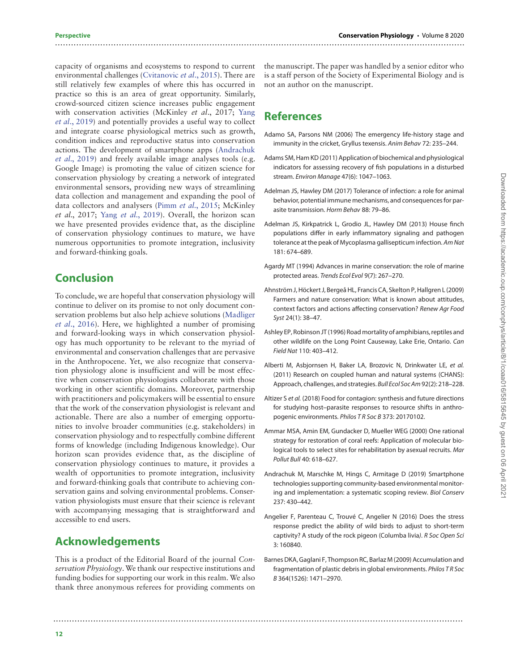capacity of organisms and ecosystems to respond to current environmental challenges [\(Cvitanovic](#page-13-8) et al., 2015). There are still relatively few examples of where this has occurred in practice so this is an area of great opportunity. Similarly, crowd-sourced citizen science increases public engagement with conservation activities (McKinley et al., 2017; Yang et al[., 2019\) and potentially provides a useful way to collect](#page-18-14) and integrate coarse physiological metrics such as growth, condition indices and reproductive status into conservation [actions. The development of smartphone apps \(Andrachuk](#page-11-10) et al., 2019) and freely available image analyses tools (e.g. Google Image) is promoting the value of citizen science for conservation physiology by creating a network of integrated environmental sensors, providing new ways of streamlining data collection and management and expanding the pool of data collectors and analysers (Pimm et al.[, 2015;](#page-16-29) McKinley et al., 2017; Yang et al.[, 2019\)](#page-18-14). Overall, the horizon scan we have presented provides evidence that, as the discipline of conservation physiology continues to mature, we have numerous opportunities to promote integration, inclusivity and forward-thinking goals.

# **Conclusion**

To conclude, we are hopeful that conservation physiology will continue to deliver on its promise to not only document con[servation problems but also help achieve solutions \(Madliger](#page-15-0) et al., 2016). Here, we highlighted a number of promising and forward-looking ways in which conservation physiology has much opportunity to be relevant to the myriad of environmental and conservation challenges that are pervasive in the Anthropocene. Yet, we also recognize that conservation physiology alone is insufficient and will be most effective when conservation physiologists collaborate with those working in other scientific domains. Moreover, partnership with practitioners and policymakers will be essential to ensure that the work of the conservation physiologist is relevant and actionable. There are also a number of emerging opportunities to involve broader communities (e.g. stakeholders) in conservation physiology and to respectfully combine different forms of knowledge (including Indigenous knowledge). Our horizon scan provides evidence that, as the discipline of conservation physiology continues to mature, it provides a wealth of opportunities to promote integration, inclusivity and forward-thinking goals that contribute to achieving conservation gains and solving environmental problems. Conservation physiologists must ensure that their science is relevant with accompanying messaging that is straightforward and accessible to end users.

# **Acknowledgements**

This is a product of the Editorial Board of the journal Conservation Physiology. We thank our respective institutions and funding bodies for supporting our work in this realm. We also thank three anonymous referees for providing comments on

..........................................................................................................................................................

the manuscript. The paper was handled by a senior editor who is a staff person of the Society of Experimental Biology and is not an author on the manuscript.

# **References**

- <span id="page-11-9"></span>Adamo SA, Parsons NM (2006) The emergency life-history stage and immunity in the cricket, Gryllus texensis. Anim Behav 72: 235–244.
- <span id="page-11-1"></span>Adams SM, Ham KD (2011) Application of biochemical and physiological indicators for assessing recovery of fish populations in a disturbed stream. Environ Manage 47(6): 1047–1063.
- <span id="page-11-6"></span>Adelman JS, Hawley DM (2017) Tolerance of infection: a role for animal behavior, potential immune mechanisms, and consequences for parasite transmission. Horm Behav 88: 79–86.
- <span id="page-11-7"></span>Adelman JS, Kirkpatrick L, Grodio JL, Hawley DM (2013) House finch populations differ in early inflammatory signaling and pathogen tolerance at the peak of Mycoplasma gallisepticum infection. Am Nat 181: 674–689.
- <span id="page-11-4"></span>Agardy MT (1994) Advances in marine conservation: the role of marine protected areas. Trends Ecol Evol 9(7): 267–270.
- Ahnström J, Höckert J, Bergeå HL, Francis CA, Skelton P, Hallgren L (2009) Farmers and nature conservation: What is known about attitudes, context factors and actions affecting conservation? Renew Agr Food Syst 24(1): 38–47.
- <span id="page-11-2"></span>Ashley EP, Robinson JT (1996) Road mortality of amphibians, reptiles and other wildlife on the Long Point Causeway, Lake Erie, Ontario. Can Field Nat 110: 403–412.
- Alberti M, Asbjornsen H, Baker LA, Brozovic N, Drinkwater LE, et al. (2011) Research on coupled human and natural systems (CHANS): Approach, challenges, and strategies. Bull Ecol Soc Am 92(2): 218–228.
- <span id="page-11-8"></span>Altizer S et al. (2018) Food for contagion: synthesis and future directions for studying host–parasite responses to resource shifts in anthropogenic environments. Philos T R Soc B 373: 20170102.
- <span id="page-11-0"></span>Ammar MSA, Amin EM, Gundacker D, Mueller WEG (2000) One rational strategy for restoration of coral reefs: Application of molecular biological tools to select sites for rehabilitation by asexual recruits. Mar Pollut Bull 40: 618–627.
- <span id="page-11-10"></span>Andrachuk M, Marschke M, Hings C, Armitage D (2019) Smartphone technologies supporting community-based environmental monitoring and implementation: a systematic scoping review. Biol Conserv 237: 430–442.
- <span id="page-11-3"></span>Angelier F, Parenteau C, Trouvé C, Angelier N (2016) Does the stress response predict the ability of wild birds to adjust to short-term captivity? A study of the rock pigeon (Columba livia). R Soc Open Sci 3: 160840.
- <span id="page-11-5"></span>Barnes DKA, Gaglani F, Thompson RC, Barlaz M (2009) Accumulation and fragmentation of plastic debris in global environments. Philos TR Soc B 364(1526): 1471–2970.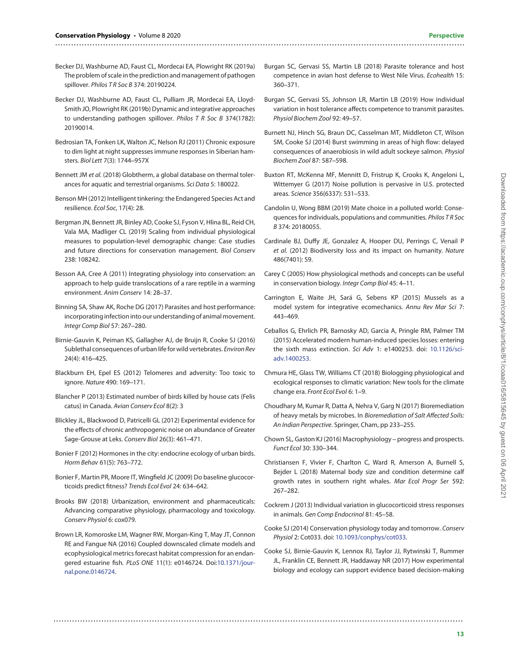<span id="page-12-22"></span>Becker DJ, Washburne AD, Faust CL, Mordecai EA, Plowright RK (2019a) The problem of scale in the prediction and management of pathogen spillover. Philos T R Soc B 374: 20190224.

..........................................................................................................................................................

- <span id="page-12-17"></span>Becker DJ, Washburne AD, Faust CL, Pulliam JR, Mordecai EA, Lloyd-Smith JO, Plowright RK (2019b) Dynamic and integrative approaches to understanding pathogen spillover. Philos T R Soc B 374(1782): 20190014.
- <span id="page-12-14"></span>Bedrosian TA, Fonken LK, Walton JC, Nelson RJ (2011) Chronic exposure to dim light at night suppresses immune responses in Siberian hamsters. Biol Lett 7(3): 1744–957X
- <span id="page-12-28"></span>Bennett JM et al. (2018) Globtherm, a global database on thermal tolerances for aquatic and terrestrial organisms. Sci Data 5: 180022.
- <span id="page-12-1"></span>Benson MH (2012) Intelligent tinkering: the Endangered Species Act and resilience. Ecol Soc, 17(4): 28.
- <span id="page-12-3"></span>Bergman JN, Bennett JR, Binley AD, Cooke SJ, Fyson V, Hlina BL, Reid CH, Vala MA, Madliger CL (2019) Scaling from individual physiological measures to population-level demographic change: Case studies and future directions for conservation management. Biol Conserv 238: 108242.
- <span id="page-12-21"></span>Besson AA, Cree A (2011) Integrating physiology into conservation: an approach to help guide translocations of a rare reptile in a warming environment. Anim Conserv 14: 28–37.
- <span id="page-12-18"></span>Binning SA, Shaw AK, Roche DG (2017) Parasites and host performance: incorporating infection into our understanding of animal movement. Integr Comp Biol 57: 267–280.
- <span id="page-12-4"></span>Birnie-Gauvin K, Peiman KS, Gallagher AJ, de Bruijn R, Cooke SJ (2016) Sublethal consequences of urban lifefor wild vertebrates. Environ Rev 24(4): 416–425.
- <span id="page-12-7"></span>Blackburn EH, Epel ES (2012) Telomeres and adversity: Too toxic to ignore. Nature 490: 169–171.
- <span id="page-12-5"></span>Blancher P (2013) Estimated number of birds killed by house cats (Felis catus) in Canada. Avian Conserv Ecol 8(2): 3
- <span id="page-12-9"></span>Blickley JL, Blackwood D, Patricelli GL (2012) Experimental evidence for the effects of chronic anthropogenic noise on abundance of Greater Sage-Grouse at Leks. Conserv Biol 26(3): 461–471.
- <span id="page-12-6"></span>Bonier F (2012) Hormones in the city: endocrine ecology of urban birds. Horm Behav 61(5): 763–772.
- <span id="page-12-10"></span>Bonier F, Martin PR, Moore IT, Wingfield JC (2009) Do baseline glucocorticoids predict fitness? Trends Ecol Evol 24: 634–642.
- <span id="page-12-27"></span>Brooks BW (2018) Urbanization, environment and pharmaceuticals: Advancing comparative physiology, pharmacology and toxicology. Conserv Physiol 6: cox079.
- <span id="page-12-8"></span>Brown LR, Komoroske LM, Wagner RW, Morgan-King T, May JT, Connon RE and Fangue NA (2016) Coupled downscaled climate models and ecophysiological metrics forecast habitat compression for an endangered estuarine fish. PLoS ONE [11\(1\): e0146724. Doi:10.1371/jour](https://doi.org/10.1371/journal.pone.0146724)nal.pone.0146724.

..........................................................................................................................................................

- <span id="page-12-19"></span>Burgan SC, Gervasi SS, Martin LB (2018) Parasite tolerance and host competence in avian host defense to West Nile Virus. Ecohealth 15: 360–371.
- <span id="page-12-20"></span>Burgan SC, Gervasi SS, Johnson LR, Martin LB (2019) How individual variation in host tolerance affects competence to transmit parasites. Physiol Biochem Zool 92: 49–57.
- <span id="page-12-11"></span>Burnett NJ, Hinch SG, Braun DC, Casselman MT, Middleton CT, Wilson SM, Cooke SJ (2014) Burst swimming in areas of high flow: delayed consequences of anaerobiosis in wild adult sockeye salmon. Physiol Biochem Zool 87: 587–598.
- <span id="page-12-15"></span>Buxton RT, McKenna MF, Mennitt D, Fristrup K, Crooks K, Angeloni L, Wittemyer G (2017) Noise pollution is pervasive in U.S. protected areas. Science 356(6337): 531–533.
- <span id="page-12-26"></span>Candolin U, Wong BBM (2019) Mate choice in a polluted world: Consequences for individuals, populations and communities. Philos T R Soc B 374: 20180055.
- <span id="page-12-24"></span>Cardinale BJ, Duffy JE, Gonzalez A, Hooper DU, Perrings C, Venail P et al. (2012) Biodiversity loss and its impact on humanity. Nature 486(7401): 59.
- <span id="page-12-30"></span>Carey C (2005) How physiological methods and concepts can be useful in conservation biology. Integr Comp Biol 45: 4–11.
- <span id="page-12-16"></span>Carrington E, Waite JH, Sará G, Sebens KP (2015) Mussels as a model system for integrative ecomechanics. Annu Rev Mar Sci 7: 443–469.
- <span id="page-12-25"></span>Ceballos G, Ehrlich PR, Barnosky AD, Garcia A, Pringle RM, Palmer TM (2015) Accelerated modern human-induced species losses: entering [the sixth mass extinction.](https://doi.org/10.1126/sciadv.1400253) Sci Adv 1: e1400253. doi: 10.1126/sciadv.1400253.
- <span id="page-12-31"></span>Chmura HE, Glass TW, Williams CT (2018) Biologging physiological and ecological responses to climatic variation: New tools for the climate change era. Front Ecol Evol 6: 1–9.
- <span id="page-12-13"></span>Choudhary M, Kumar R, Datta A, Nehra V, Garg N (2017) Bioremediation of heavy metals by microbes. In Bioremediation of Salt Affected Soils: An Indian Perspective. Springer, Cham, pp 233–255.
- <span id="page-12-2"></span>Chown SL, Gaston KJ (2016) Macrophysiology – progress and prospects. Funct Ecol 30: 330–344.
- <span id="page-12-0"></span>Christiansen F, Vivier F, Charlton C, Ward R, Amerson A, Burnell S, Bejder L (2018) Maternal body size and condition determine calf growth rates in southern right whales. Mar Ecol Progr Ser 592: 267–282.
- <span id="page-12-12"></span>Cockrem J (2013) Individual variation in glucocorticoid stress responses in animals. Gen Comp Endocrinol 81: 45–58.
- <span id="page-12-29"></span>Cooke SJ (2014) Conservation physiology today and tomorrow. Conserv Physiol 2: Cot033. doi: [10.1093/conphys/cot033.](https://doi.org/10.1093/conphys/cot033)
- <span id="page-12-23"></span>Cooke SJ, Birnie-Gauvin K, Lennox RJ, Taylor JJ, Rytwinski T, Rummer JL, Franklin CE, Bennett JR, Haddaway NR (2017) How experimental biology and ecology can support evidence based decision-making

Downloaded from https://academic.oup.com/conphys/article/8/1/coaa016/5815645 by guest on 06 April 202 Downloaded from https://academic.oup.com/conphys/article/8/1/coaa016/5815645 by guest on 06 April 2021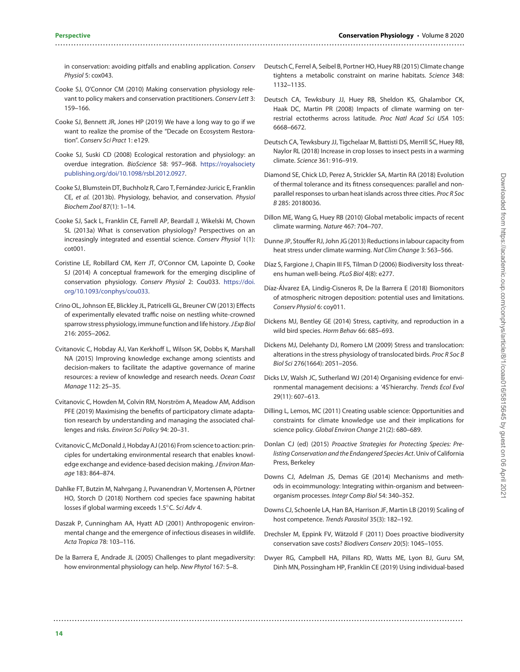## in conservation: avoiding pitfalls and enabling application. Conserv Physiol 5: cox043.

..........................................................................................................................................................

- <span id="page-13-1"></span>Cooke SJ, O'Connor CM (2010) Making conservation physiology relevant to policy makers and conservation practitioners. Conserv Lett 3: 159–166.
- <span id="page-13-10"></span>Cooke SJ, Bennett JR, Jones HP (2019) We have a long way to go if we want to realize the promise of the "Decade on Ecosystem Restoration". Conserv Sci Pract 1: e129.
- <span id="page-13-11"></span>Cooke SJ, Suski CD (2008) Ecological restoration and physiology: an overdue integration. BioScience 58: 957–968. https://royalsociety [publishing.org/doi/10.1098/rsbl.2012.0927.](https://royalsocietypublishing.org/doi/10.1098/rsbl.2012.0927)
- <span id="page-13-5"></span>Cooke SJ, Blumstein DT, Buchholz R, Caro T, Fernández-Juricic E, Franklin CE, et al. (2013b). Physiology, behavior, and conservation. Physiol Biochem Zool 87(1): 1–14.
- <span id="page-13-2"></span>Cooke SJ, Sack L, Franklin CE, Farrell AP, Beardall J, Wikelski M, Chown SL (2013a) What is conservation physiology? Perspectives on an increasingly integrated and essential science. Conserv Physiol 1(1): cot001.
- <span id="page-13-0"></span>Coristine LE, Robillard CM, Kerr JT, O'Connor CM, Lapointe D, Cooke SJ (2014) A conceptual framework for the emerging discipline of conservation physiology. Conserv Physiol 2: Cou033. [https://doi.](https://doi.org/10.1093/conphys/cou033) [org/10.1093/conphys/cou033.](https://doi.org/10.1093/conphys/cou033)
- <span id="page-13-15"></span>Crino OL, Johnson EE, Blickley JL, Patricelli GL, Breuner CW (2013) Effects of experimentally elevated traffic noise on nestling white-crowned sparrow stress physiology, immune function and life history. J Exp Biol 216: 2055–2062.
- <span id="page-13-8"></span>Cvitanovic C, Hobday AJ, Van Kerkhoff L, Wilson SK, Dobbs K, Marshall NA (2015) Improving knowledge exchange among scientists and decision-makers to facilitate the adaptive governance of marine resources: a review of knowledge and research needs. Ocean Coast Manage 112: 25–35.
- <span id="page-13-9"></span>Cvitanovic C, Howden M, Colvin RM, Norström A, Meadow AM, Addison PFE (2019) Maximising the benefits of participatory climate adaptation research by understanding and managing the associated challenges and risks. Environ Sci Policy 94: 20–31.
- <span id="page-13-7"></span>Cvitanovic C, McDonald J, Hobday AJ (2016) From science to action: principles for undertaking environmental research that enables knowledge exchange and evidence-based decision making.J Environ Manage 183: 864–874.
- <span id="page-13-26"></span>Dahlke FT, Butzin M, Nahrgang J, Puvanendran V, Mortensen A, Pörtner HO, Storch D (2018) Northern cod species face spawning habitat losses if global warming exceeds 1.5◦C. Sci Adv 4.
- <span id="page-13-16"></span>Daszak P, Cunningham AA, Hyatt AD (2001) Anthropogenic environmental change and the emergence of infectious diseases in wildlife. Acta Tropica 78: 103–116.
- <span id="page-13-27"></span>De la Barrera E, Andrade JL (2005) Challenges to plant megadiversity: how environmental physiology can help. New Phytol 167: 5–8.

- <span id="page-13-25"></span>Deutsch C, Ferrel A, Seibel B, Portner HO, Huey RB (2015) Climate change tightens a metabolic constraint on marine habitats. Science 348: 1132–1135.
- <span id="page-13-24"></span>Deutsch CA, Tewksbury JJ, Huey RB, Sheldon KS, Ghalambor CK, Haak DC, Martin PR (2008) Impacts of climate warming on terrestrial ectotherms across latitude. Proc Natl Acad Sci USA 105: 6668–6672.
- <span id="page-13-21"></span>Deutsch CA, Tewksbury JJ, Tigchelaar M, Battisti DS, Merrill SC, Huey RB, Naylor RL (2018) Increase in crop losses to insect pests in a warming climate. Science 361: 916–919.
- <span id="page-13-23"></span>Diamond SE, Chick LD, Perez A, Strickler SA, Martin RA (2018) Evolution of thermal tolerance and its fitness consequences: parallel and nonparallel responses to urban heat islands across three cities. Proc R Soc B 285: 20180036.
- <span id="page-13-20"></span>Dillon ME, Wang G, Huey RB (2010) Global metabolic impacts of recent climate warming. Nature 467: 704–707.
- <span id="page-13-22"></span>Dunne JP, Stouffer RJ, John JG (2013) Reductions in labour capacity from heat stress under climate warming. Nat Clim Change 3: 563–566.
- Díaz S, Fargione J, Chapin III FS, Tilman D (2006) Biodiversity loss threatens human well-being. PLoS Biol 4(8): e277.
- <span id="page-13-14"></span>Díaz-Álvarez EA, Lindig-Cisneros R, De la Barrera E (2018) Biomonitors of atmospheric nitrogen deposition: potential uses and limitations. Conserv Physiol 6: coy011.
- <span id="page-13-12"></span>Dickens MJ, Bentley GE (2014) Stress, captivity, and reproduction in a wild bird species. Horm Behav 66: 685–693.
- <span id="page-13-13"></span>Dickens MJ, Delehanty DJ, Romero LM (2009) Stress and translocation: alterations in the stress physiology of translocated birds. Proc R Soc B Biol Sci 276(1664): 2051–2056.
- <span id="page-13-19"></span>Dicks LV, Walsh JC, Sutherland WJ (2014) Organising evidence for environmental management decisions: a '4S'hierarchy. Trends Ecol Evol 29(11): 607–613.
- <span id="page-13-6"></span>Dilling L, Lemos, MC (2011) Creating usable science: Opportunities and constraints for climate knowledge use and their implications for science policy. Global Environ Change 21(2): 680–689.
- <span id="page-13-4"></span>Donlan CJ (ed) (2015) Proactive Strategies for Protecting Species: Prelisting Conservation and the Endangered Species Act. Univ of California Press, Berkeley
- <span id="page-13-18"></span>Downs CJ, Adelman JS, Demas GE (2014) Mechanisms and methods in ecoimmunology: Integrating within-organism and betweenorganism processes. Integr Comp Biol 54: 340–352.
- <span id="page-13-17"></span>Downs CJ, Schoenle LA, Han BA, Harrison JF, Martin LB (2019) Scaling of host competence. Trends Parasitol 35(3): 182–192.
- <span id="page-13-3"></span>Drechsler M, Eppink FV, Wätzold F (2011) Does proactive biodiversity conservation save costs? Biodivers Conserv 20(5): 1045–1055.
- <span id="page-13-28"></span>Dwyer RG, Campbell HA, Pillans RD, Watts ME, Lyon BJ, Guru SM, Dinh MN, Possingham HP, Franklin CE (2019) Using individual-based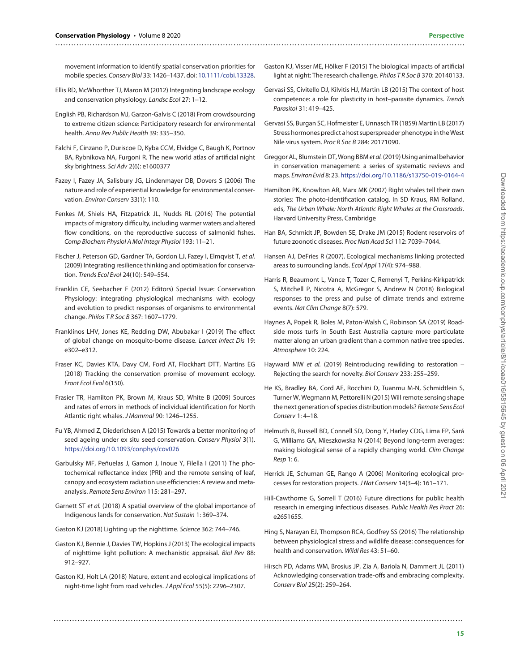movement information to identify spatial conservation priorities for mobile species. Conserv Biol 33: 1426–1437. doi: [10.1111/cobi.13328.](https://doi.org/10.1111/cobi.13328)

- <span id="page-14-3"></span>Ellis RD, McWhorther TJ, Maron M (2012) Integrating landscape ecology and conservation physiology. Landsc Ecol 27: 1–12.
- <span id="page-14-23"></span>English PB, Richardson MJ, Garzon-Galvis C (2018) From crowdsourcing to extreme citizen science: Participatory research for environmental health. Annu Rev Public Health 39: 335–350.
- Falchi F, Cinzano P, Duriscoe D, Kyba CCM, Elvidge C, Baugh K, Portnov BA, Rybnikova NA, Furgoni R. The new world atlas of artificial night sky brightness. Sci Adv 2(6): e1600377
- <span id="page-14-6"></span>Fazey I, Fazey JA, Salisbury JG, Lindenmayer DB, Dovers S (2006) The nature and role of experiential knowledge for environmental conservation. Environ Conserv 33(1): 110.
- <span id="page-14-15"></span>Fenkes M, Shiels HA, Fitzpatrick JL, Nudds RL (2016) The potential impacts of migratory difficulty, including warmer waters and altered flow conditions, on the reproductive success of salmonid fishes. Comp Biochem Physiol A Mol Integr Physiol 193: 11–21.
- <span id="page-14-5"></span>Fischer J, Peterson GD, Gardner TA, Gordon LJ, Fazey I, Elmqvist T, et al. (2009) Integrating resilience thinking and optimisation for conservation. Trends Ecol Evol 24(10): 549–554.
- <span id="page-14-0"></span>Franklin CE, Seebacher F (2012) Editors) Special Issue: Conservation Physiology: integrating physiological mechanisms with ecology and evolution to predict responses of organisms to environmental change. Philos T R Soc B 367: 1607–1779.
- <span id="page-14-22"></span>Franklinos LHV, Jones KE, Redding DW, Abubakar I (2019) The effect of global change on mosquito-borne disease. Lancet Infect Dis 19: e302–e312.
- <span id="page-14-25"></span>Fraser KC, Davies KTA, Davy CM, Ford AT, Flockhart DTT, Martins EG (2018) Tracking the conservation promise of movement ecology. Front Ecol Evol 6(150).
- <span id="page-14-2"></span>Frasier TR, Hamilton PK, Brown M, Kraus SD, White B (2009) Sources and rates of errors in methods of individual identification for North Atlantic right whales. J Mammal 90: 1246–1255.
- <span id="page-14-11"></span>Fu YB, Ahmed Z, Diederichsen A (2015) Towards a better monitoring of seed ageing under ex situ seed conservation. Conserv Physiol 3(1). <https://doi.org/10.1093/conphys/cov026>
- <span id="page-14-13"></span>Garbulsky MF, Peñuelas J, Gamon J, Inoue Y, Filella I (2011) The photochemical reflectance index (PRI) and the remote sensing of leaf, canopy and ecosystem radiation use efficiencies: A review and metaanalysis. Remote Sens Environ 115: 281–297.
- <span id="page-14-27"></span>Garnett ST et al. (2018) A spatial overview of the global importance of Indigenous lands for conservation. Nat Sustain 1: 369–374.
- <span id="page-14-9"></span>Gaston KJ (2018) Lighting up the nighttime. Science 362: 744–746.
- <span id="page-14-24"></span>Gaston KJ, Bennie J, Davies TW, Hopkins J (2013) The ecological impacts of nighttime light pollution: A mechanistic appraisal. Biol Rev 88: 912–927.
- Gaston KJ, Holt LA (2018) Nature, extent and ecological implications of night-time light from road vehicles. J Appl Ecol 55(5): 2296–2307.
- <span id="page-14-14"></span>Gaston KJ, Visser ME, Hölker F (2015) The biological impacts of artificial light at night: The research challenge. Philos T R Soc B 370: 20140133.
- <span id="page-14-20"></span>Gervasi SS, Civitello DJ, Kilvitis HJ, Martin LB (2015) The context of host competence: a role for plasticity in host–parasite dynamics. Trends Parasitol 31: 419–425.
- Gervasi SS, Burgan SC, Hofmeister E, Unnasch TR (1859) Martin LB (2017) Stress hormones predict a host superspreader phenotype in the West Nile virus system. Proc R Soc B 284: 20171090.
- Greggor AL, Blumstein DT, Wong BBM et al. (2019) Using animal behavior in conservation management: a series of systematic reviews and maps. Environ Evid 8: 23. <https://doi.org/10.1186/s13750-019-0164-4>
- <span id="page-14-1"></span>Hamilton PK, Knowlton AR, Marx MK (2007) Right whales tell their own stories: The photo-identification catalog. In SD Kraus, RM Rolland, eds, The Urban Whale: North Atlantic Right Whales at the Crossroads. Harvard University Press, Cambridge
- <span id="page-14-19"></span>Han BA, Schmidt JP, Bowden SE, Drake JM (2015) Rodent reservoirs of future zoonotic diseases. Proc Natl Acad Sci 112: 7039–7044.
- <span id="page-14-12"></span>Hansen AJ, DeFries R (2007). Ecological mechanisms linking protected areas to surrounding lands. Ecol Appl 17(4): 974–988.
- <span id="page-14-16"></span>Harris R, Beaumont L, Vance T, Tozer C, Remenyi T, Perkins-Kirkpatrick S, Mitchell P, Nicotra A, McGregor S, Andrew N (2018) Biological responses to the press and pulse of climate trends and extreme events. Nat Clim Change 8(7): 579.
- <span id="page-14-8"></span>Haynes A, Popek R, Boles M, Paton-Walsh C, Robinson SA (2019) Roadside moss turfs in South East Australia capture more particulate matter along an urban gradient than a common native tree species. Atmosphere 10: 224.
- <span id="page-14-10"></span>Hayward MW et al. (2019) Reintroducing rewilding to restoration – Rejecting the search for novelty. Biol Conserv 233: 255–259.
- <span id="page-14-26"></span>He KS, Bradley BA, Cord AF, Rocchini D, Tuanmu M-N, Schmidtlein S, Turner W, Wegmann M, Pettorelli N (2015) Will remote sensing shape the next generation of species distribution models? Remote Sens Ecol Conserv 1: 4–18.
- <span id="page-14-17"></span>Helmuth B, Russell BD, Connell SD, Dong Y, Harley CDG, Lima FP, Sará G, Williams GA, Mieszkowska N (2014) Beyond long-term averages: making biological sense of a rapidly changing world. Clim Change Resp 1: 6.
- <span id="page-14-7"></span>Herrick JE, Schuman GE, Rango A (2006) Monitoring ecological processes for restoration projects. J Nat Conserv 14(3–4): 161–171.
- <span id="page-14-18"></span>Hill-Cawthorne G, Sorrell T (2016) Future directions for public health research in emerging infectious diseases. Public Health Res Pract 26: e2651655.
- <span id="page-14-21"></span>Hing S, Narayan EJ, Thompson RCA, Godfrey SS (2016) The relationship between physiological stress and wildlife disease: consequences for health and conservation. Wildl Res 43: 51–60.
- <span id="page-14-4"></span>Hirsch PD, Adams WM, Brosius JP, Zia A, Bariola N, Dammert JL (2011) Acknowledging conservation trade-offs and embracing complexity. Conserv Biol 25(2): 259–264.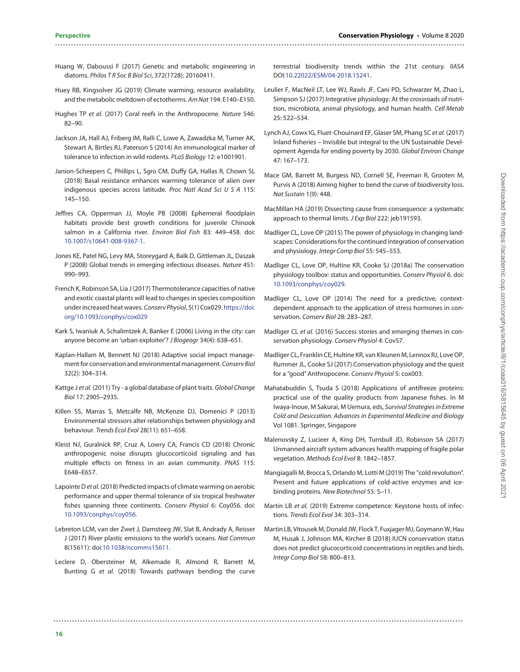<span id="page-15-8"></span>Huang W, Daboussi F (2017) Genetic and metabolic engineering in diatoms. Philos T R Soc B Biol Sci, 372(1728): 20160411.

..........................................................................................................................................................

- <span id="page-15-20"></span>Huey RB, Kingsolver JG (2019) Climate warming, resource availability, and the metabolic meltdown of ectotherms. Am Nat 194: E140–E150.
- <span id="page-15-10"></span>Hughes TP et al. (2017) Coral reefs in the Anthropocene. Nature 546: 82–90.
- <span id="page-15-14"></span>Jackson JA, Hall AJ, Friberg IM, Ralli C, Lowe A, Zawadzka M, Turner AK, Stewart A, Birtles RJ, Paterson S (2014) An immunological marker of tolerance to infection in wild rodents. PLoS Biology 12: e1001901.
- <span id="page-15-21"></span>Janion-Scheepers C, Phillips L, Sgro CM, Duffy GA, Hallas R, Chown SL (2018) Basal resistance enhances warming tolerance of alien over indigenous species across latitude. Proc Natl Acad Sci U S A 115: 145–150.
- <span id="page-15-3"></span>Jeffres CA, Opperman JJ, Moyle PB (2008) Ephemeral floodplain habitats provide best growth conditions for juvenile Chinook salmon in a California river. Environ Biol Fish 83: 449–458. doi: [10.1007/s10641-008-9367-1.](https://doi.org/10.1007/s10641-008-9367-1)
- <span id="page-15-12"></span>Jones KE, Patel NG, Levy MA, Storeygard A, Balk D, Gittleman JL, Daszak P (2008) Global trends in emerging infectious diseases. Nature 451: 990–993.
- <span id="page-15-6"></span>French K, Robinson SA, Lia J (2017) Thermotolerance capacities of native and exotic coastal plants will lead to changes in species composition under increased heat waves. Conserv Physiol, 5(1) Cox029. [https://doi.](https://doi.org/10.1093/conphys/cox029) [org/10.1093/conphys/cox029](https://doi.org/10.1093/conphys/cox029)
- Kark S, Iwaniuk A, Schalimtzek A, Banker E (2006) Living in the city: can anyone become an 'urban exploiter'? J Biogeogr 34(4): 638–651.
- <span id="page-15-1"></span>Kaplan-Hallam M, Bennett NJ (2018) Adaptive social impact management for conservation and environmental management. Conserv Biol 32(2): 304–314.
- <span id="page-15-22"></span>Kattge J et al. (2011) Try - a global database of plant traits. Global Change Biol 17: 2905–2935.
- <span id="page-15-2"></span>Killen SS, Marras S, Metcalfe NB, McKenzie DJ, Domenici P (2013) Environmental stressors alter relationships between physiology and behaviour. Trends Ecol Evol 28(11): 651–658.
- <span id="page-15-5"></span>Kleist NJ, Guralnick RP, Cruz A, Lowry CA, Francis CD (2018) Chronic anthropogenic noise disrupts glucocorticoid signaling and has multiple effects on fitness in an avian community. PNAS 115: E648–E657.
- <span id="page-15-23"></span>Lapointe Det al. (2018) Predicted impacts of climate warming on aerobic performance and upper thermal tolerance of six tropical freshwater fishes spanning three continents. Conserv Physiol 6: Coy056. doi: [10.1093/conphys/coy056.](https://doi.org/10.1093/conphys/coy056)
- <span id="page-15-9"></span>Lebreton LCM, van der Zwet J, Damsteeg JW, Slat B, Andrady A, Reisser J (2017) River plastic emissions to the world's oceans. Nat Commun 8(15611): doi[:10.1038/ncomms15611.](https://doi.org/10.1038/ncomms15611)
- <span id="page-15-17"></span>Leclere D, Obersteiner M, Alkemade R, Almond R, Barrett M, Bunting G et al. (2018) Towards pathways bending the curve

..........................................................................................................................................................

terrestrial biodiversity trends within the 21st century. IIASA DOI[:10.22022/ESM/04-2018.15241.](https://doi.org/10.22022/ESM/04-2018.15241)

- <span id="page-15-19"></span>Leulier F, MacNeil LT, Lee WJ, Rawls JF, Cani PD, Schwarzer M, Zhao L, Simpson SJ (2017) Integrative physiology: At the crossroads of nutrition, microbiota, animal physiology, and human health. Cell Metab 25: 522–534.
- <span id="page-15-18"></span>Lynch AJ, Cowx IG, Fluet-Chouinard EF, Glaser SM, Phang SC et al. (2017) Inland fisheries – Invisible but integral to the UN Sustainable Development Agenda for ending poverty by 2030. Global Environ Change 47: 167–173.
- <span id="page-15-16"></span>Mace GM, Barrett M, Burgess ND, Cornell SE, Freeman R, Grooten M, Purvis A (2018) Aiming higher to bend the curve of biodiversity loss. Nat Sustain 1(9): 448.
- <span id="page-15-25"></span>MacMillan HA (2019) Dissecting cause from consequence: a systematic approach to thermal limits. J Exp Biol 222: jeb191593.
- <span id="page-15-24"></span>Madliger CL, Love OP (2015) The power of physiology in changing landscapes: Considerations for the continued integration of conservation and physiology. Integr Comp Biol 55: 545–553.
- Madliger CL, Love OP, Hultine KR, Cooke SJ (2018a) The conservation physiology toolbox: status and opportunities. Conserv Physiol 6. doi: [10.1093/conphys/coy029.](https://doi.org/10.1093/conphys/coy029)
- <span id="page-15-7"></span>Madliger CL, Love OP (2014) The need for a predictive, contextdependent approach to the application of stress hormones in conservation. Conserv Biol 28: 283–287.
- <span id="page-15-0"></span>Madliger CL et al. (2016) Success stories and emerging themes in conservation physiology. Conserv Physiol 4: Cov57.
- <span id="page-15-4"></span>Madliger CL, Franklin CE, Hultine KR, van Kleunen M, Lennox RJ, Love OP, Rummer JL, Cooke SJ (2017) Conservation physiology and the quest for a "good" Anthropocene. Conserv Physiol 5: cox003.
- Mahatabuddin S, Tsuda S (2018) Applications of antifreeze proteins: practical use of the quality products from Japanese fishes. In M Iwaya-Inoue, M Sakurai, M Uemura, eds, Survival Strategies in Extreme Cold and Desiccation. Advances in Experimental Medicine and Biology Vol 1081. Springer, Singapore
- <span id="page-15-11"></span>Malenovsky Z, Lucieer A, King DH, Turnbull JD, Robinson SA (2017) Unmanned aircraft system advances health mapping of fragile polar vegetation. Methods Ecol Evol 8: 1842–1857.
- Mangiagalli M, Brocca S, Orlando M, Lotti M (2019) The "cold revolution". Present and future applications of cold-active enzymes and icebinding proteins. New Biotechnol 55: 5–11.
- <span id="page-15-13"></span>Martin LB et al. (2019) Extreme competence: Keystone hosts of infections. Trends Ecol Evol 34: 303–314.
- <span id="page-15-15"></span>Martin LB, Vitousek M, Donald JW, Flock T, Fuxjager MJ, Goymann W, Hau M, Husak J, Johnson MA, Kircher B (2018) IUCN conservation status does not predict glucocorticoid concentrations in reptiles and birds. Integr Comp Biol 58: 800–813.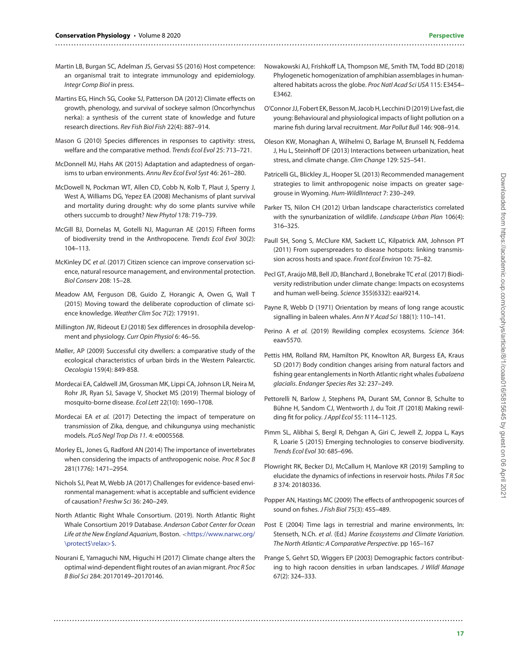<span id="page-16-22"></span>Martin LB, Burgan SC, Adelman JS, Gervasi SS (2016) Host competence: an organismal trait to integrate immunology and epidemiology. Integr Comp Biol in press.

<span id="page-16-25"></span>Martins EG, Hinch SG, Cooke SJ, Patterson DA (2012) Climate effects on growth, phenology, and survival of sockeye salmon (Oncorhynchus nerka): a synthesis of the current state of knowledge and future research directions. Rev Fish Biol Fish 22(4): 887–914.

- <span id="page-16-10"></span>Mason G (2010) Species differences in responses to captivity: stress, welfare and the comparative method. Trends Ecol Evol 25: 713–721.
- <span id="page-16-6"></span>McDonnell MJ, Hahs AK (2015) Adaptation and adaptedness of organisms to urban environments. Annu Rev Ecol Evol Syst 46: 261–280.
- <span id="page-16-12"></span>McDowell N, Pockman WT, Allen CD, Cobb N, Kolb T, Plaut J, Sperry J, West A, Williams DG, Yepez EA (2008) Mechanisms of plant survival and mortality during drought: why do some plants survive while others succumb to drought? New Phytol 178: 719–739.
- <span id="page-16-24"></span>McGill BJ, Dornelas M, Gotelli NJ, Magurran AE (2015) Fifteen forms of biodiversity trend in the Anthropocene. Trends Ecol Evol 30(2): 104–113.
- McKinley DC et al. (2017) Citizen science can improve conservation science, natural resource management, and environmental protection. Biol Conserv 208: 15–28.
- <span id="page-16-2"></span>Meadow AM, Ferguson DB, Guido Z, Horangic A, Owen G, Wall T (2015) Moving toward the deliberate coproduction of climate science knowledge. Weather Clim Soc 7(2): 179191.
- <span id="page-16-26"></span>Millington JW, Rideout EJ (2018) Sex differences in drosophila development and physiology. Curr Opin Physiol 6: 46–56.
- <span id="page-16-3"></span>Møller, AP (2009) Successful city dwellers: a comparative study of the ecological characteristics of urban birds in the Western Palearctic. Oecologia 159(4): 849-858.
- Mordecai EA, Caldwell JM, Grossman MK, Lippi CA, Johnson LR, Neira M, Rohr JR, Ryan SJ, Savage V, Shocket MS (2019) Thermal biology of mosquito-borne disease. Ecol Lett 22(10): 1690–1708.
- <span id="page-16-23"></span>Mordecai EA et al. (2017) Detecting the impact of temperature on transmission of Zika, dengue, and chikungunya using mechanistic models. PLoS Negl Trop Dis 11. 4: e0005568.
- <span id="page-16-16"></span>Morley EL, Jones G, Radford AN (2014) The importance of invertebrates when considering the impacts of anthropogenic noise. Proc R Soc B 281(1776): 1471–2954.
- <span id="page-16-28"></span>Nichols SJ, Peat M, Webb JA (2017) Challenges for evidence-based environmental management: what is acceptable and sufficient evidence of causation? Freshw Sci 36: 240–249.
- <span id="page-16-0"></span>North Atlantic Right Whale Consortium. (2019). North Atlantic Right Whale Consortium 2019 Database. Anderson Cabot Center for Ocean Life at the New England Aquarium, Boston. *<*[https://www.narwc.org/](https://www.narwc.org/protect $
elax >$) [\protect\\$\relax>\\$.](https://www.narwc.org/protect $
elax >$)
- <span id="page-16-18"></span>Nourani E, Yamaguchi NM, Higuchi H (2017) Climate change alters the optimal wind-dependent flight routes of an avian migrant. Proc R Soc B Biol Sci 284: 20170149–20170146.

- <span id="page-16-11"></span>Nowakowski AJ, Frishkoff LA, Thompson ME, Smith TM, Todd BD (2018) Phylogenetic homogenization of amphibian assemblages in humanaltered habitats across the globe. Proc Natl Acad Sci USA 115: E3454– E3462.
- <span id="page-16-17"></span>O'Connor JJ, Fobert EK, Besson M, Jacob H, Lecchini D (2019) Live fast, die young: Behavioural and physiological impacts of light pollution on a marine fish during larval recruitment. Mar Pollut Bull 146: 908–914.
- <span id="page-16-27"></span>Oleson KW, Monaghan A, Wilhelmi O, Barlage M, Brunsell N, Feddema J, Hu L, Steinhoff DF (2013) Interactions between urbanization, heat stress, and climate change. Clim Change 129: 525–541.
- <span id="page-16-13"></span>Patricelli GL, Blickley JL, Hooper SL (2013) Recommended management strategies to limit anthropogenic noise impacts on greater sagegrouse in Wyoming. Hum-WildlInteract 7: 230–249.
- <span id="page-16-5"></span>Parker TS, Nilon CH (2012) Urban landscape characteristics correlated with the synurbanization of wildlife. Landscape Urban Plan 106(4): 316–325.
- <span id="page-16-21"></span>Paull SH, Song S, McClure KM, Sackett LC, Kilpatrick AM, Johnson PT (2011) From superspreaders to disease hotspots: linking transmission across hosts and space. Front Ecol Environ 10: 75–82.
- <span id="page-16-19"></span>Pecl GT, Araújo MB, Bell JD, Blanchard J, Bonebrake TC et al. (2017) Biodiversity redistribution under climate change: Impacts on ecosystems and human well-being. Science 355(6332): eaai9214.
- <span id="page-16-14"></span>Payne R, Webb D (1971) Orientation by means of long range acoustic signalling in baleen whales. Ann N Y Acad Sci 188(1): 110–141.
- <span id="page-16-8"></span>Perino A et al. (2019) Rewilding complex ecosystems. Science 364: eaav5570.
- <span id="page-16-1"></span>Pettis HM, Rolland RM, Hamilton PK, Knowlton AR, Burgess EA, Kraus SD (2017) Body condition changes arising from natural factors and fishing gear entanglements in North Atlantic right whales Eubalaena glacialis. Endanger Species Res 32: 237–249.
- <span id="page-16-7"></span>Pettorelli N, Barlow J, Stephens PA, Durant SM, Connor B, Schulte to Bühne H, Sandom CJ, Wentworth J, du Toit JT (2018) Making rewilding fit for policy. J Appl Ecol 55: 1114–1125.
- <span id="page-16-29"></span>Pimm SL, Alibhai S, Bergl R, Dehgan A, Giri C, Jewell Z, Joppa L, Kays R, Loarie S (2015) Emerging technologies to conserve biodiversity. Trends Ecol Evol 30: 685–696.
- <span id="page-16-20"></span>Plowright RK, Becker DJ, McCallum H, Manlove KR (2019) Sampling to elucidate the dynamics of infections in reservoir hosts. Philos T R Soc B 374: 20180336.
- <span id="page-16-15"></span>Popper AN, Hastings MC (2009) The effects of anthropogenic sources of sound on fishes. J Fish Biol 75(3): 455–489.
- <span id="page-16-9"></span>Post E (2004) Time lags in terrestrial and marine environments, In: Stenseth, N.Ch. et al. (Ed.) Marine Ecosystems and Climate Variation. The North Atlantic: A Comparative Perspective. pp 165–167
- <span id="page-16-4"></span>Prange S, Gehrt SD, Wiggers EP (2003) Demographic factors contributing to high racoon densities in urban landscapes. J Wildl Manage 67(2): 324–333.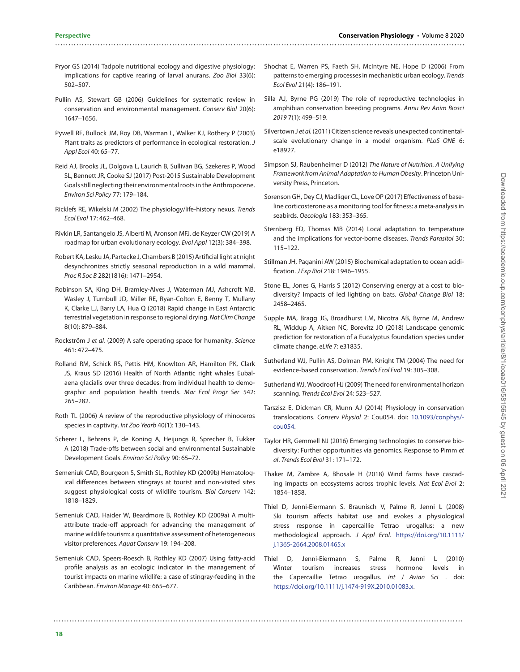- <span id="page-17-10"></span>Pryor GS (2014) Tadpole nutritional ecology and digestive physiology: implications for captive rearing of larval anurans. Zoo Biol 33(6): 502–507.
- <span id="page-17-21"></span>Pullin AS, Stewart GB (2006) Guidelines for systematic review in conservation and environmental management. Conserv Biol 20(6): 1647–1656.
- <span id="page-17-2"></span>Pywell RF, Bullock JM, Roy DB, Warman L, Walker KJ, Rothery P (2003) Plant traits as predictors of performance in ecological restoration. J Appl Ecol 40: 65–77.
- <span id="page-17-22"></span>Reid AJ, Brooks JL, Dolgova L, Laurich B, Sullivan BG, Szekeres P, Wood SL, Bennett JR, Cooke SJ (2017) Post-2015 Sustainable Development Goals still neglecting their environmental roots in the Anthropocene. Environ Sci Policy 77: 179–184.
- <span id="page-17-7"></span>Ricklefs RE, Wikelski M (2002) The physiology/life-history nexus. Trends Ecol Evol 17: 462–468.
- <span id="page-17-4"></span>Rivkin LR, Santangelo JS, Alberti M, Aronson MFJ, de Keyzer CW (2019) A roadmap for urban evolutionary ecology. Evol Appl 12(3): 384–398.
- <span id="page-17-5"></span>Robert KA, Lesku JA, Partecke J, Chambers B (2015) Artificial light at night desynchronizes strictly seasonal reproduction in a wild mammal. Proc R Soc B 282(1816): 1471–2954.
- <span id="page-17-19"></span>Robinson SA, King DH, Bramley-Alves J, Waterman MJ, Ashcroft MB, Wasley J, Turnbull JD, Miller RE, Ryan-Colton E, Benny T, Mullany K, Clarke LJ, Barry LA, Hua Q (2018) Rapid change in East Antarctic terrestrial vegetation in response to regional drying. Nat Clim Change 8(10): 879–884.
- <span id="page-17-14"></span>Rockström J et al. (2009) A safe operating space for humanity. Science 461: 472–475.
- <span id="page-17-0"></span>Rolland RM, Schick RS, Pettis HM, Knowlton AR, Hamilton PK, Clark JS, Kraus SD (2016) Health of North Atlantic right whales Eubalaena glacialis over three decades: from individual health to demographic and population health trends. Mar Ecol Progr Ser 542: 265–282.
- <span id="page-17-8"></span>Roth TL (2006) A review of the reproductive physiology of rhinoceros species in captivity. Int Zoo Yearb 40(1): 130–143.
- <span id="page-17-27"></span>Scherer L, Behrens P, de Koning A, Heijungs R, Sprecher B, Tukker A (2018) Trade-offs between social and environmental Sustainable Development Goals. Environ Sci Policy 90: 65–72.
- <span id="page-17-17"></span>Semeniuk CAD, Bourgeon S, Smith SL, Rothley KD (2009b) Hematological differences between stingrays at tourist and non-visited sites suggest physiological costs of wildlife tourism. Biol Conserv 142: 1818–1829.
- <span id="page-17-15"></span>Semeniuk CAD, Haider W, Beardmore B, Rothley KD (2009a) A multiattribute trade-off approach for advancing the management of marine wildlife tourism: a quantitative assessment of heterogeneous visitor preferences. Aquat Conserv 19: 194–208.
- <span id="page-17-16"></span>Semeniuk CAD, Speers-Roesch B, Rothley KD (2007) Using fatty-acid profile analysis as an ecologic indicator in the management of tourist impacts on marine wildlife: a case of stingray-feeding in the Caribbean. Environ Manage 40: 665–677.

<span id="page-17-3"></span>Shochat E, Warren PS, Faeth SH, McIntyre NE, Hope D (2006) From patterns to emerging processes in mechanistic urban ecology. Trends Ecol Evol 21(4): 186–191.

- <span id="page-17-9"></span>Silla AJ, Byrne PG (2019) The role of reproductive technologies in amphibian conservation breeding programs. Annu Rev Anim Biosci 2019 7(1): 499–519.
- <span id="page-17-24"></span>Silvertown J et al. (2011) Citizen science reveals unexpected continentalscale evolutionary change in a model organism. PLoS ONE 6: e18927.
- <span id="page-17-25"></span>Simpson SJ, Raubenheimer D (2012) The Nature of Nutrition. A Unifying Framework from Animal Adaptation to Human Obesity. Princeton University Press, Princeton.
- <span id="page-17-18"></span>Sorenson GH, Dey CJ, Madliger CL, Love OP (2017) Effectiveness of baseline corticosterone as a monitoring tool for fitness: a meta-analysis in seabirds. Oecologia 183: 353–365.
- <span id="page-17-23"></span>Sternberg ED, Thomas MB (2014) Local adaptation to temperature and the implications for vector-borne diseases. Trends Parasitol 30: 115–122.
- <span id="page-17-26"></span>Stillman JH, Paganini AW (2015) Biochemical adaptation to ocean acidification. J Exp Biol 218: 1946–1955.
- Stone EL, Jones G, Harris S (2012) Conserving energy at a cost to biodiversity? Impacts of led lighting on bats. Global Change Biol 18: 2458–2465.
- <span id="page-17-11"></span>Supple MA, Bragg JG, Broadhurst LM, Nicotra AB, Byrne M, Andrew RL, Widdup A, Aitken NC, Borevitz JO (2018) Landscape genomic prediction for restoration of a Eucalyptus foundation species under climate change. eLife 7: e31835.
- <span id="page-17-20"></span>Sutherland WJ, Pullin AS, Dolman PM, Knight TM (2004) The need for evidence-based conservation. Trends Ecol Evol 19: 305–308.
- <span id="page-17-1"></span>Sutherland WJ, Woodroof HJ (2009) The need for environmental horizon scanning. Trends Ecol Evol 24: 523–527.
- <span id="page-17-6"></span>Tarszisz E, Dickman CR, Munn AJ (2014) Physiology in conservation translocations. Conserv Physiol 2: Cou054. doi: [10.1093/conphys/](https://doi.org/10.1093/conphys/cou054) cou054.
- <span id="page-17-28"></span>Taylor HR, Gemmell NJ (2016) Emerging technologies to conserve biodiversity: Further opportunities via genomics. Response to Pimm et al. Trends Ecol Evol 31: 171–172.
- Thaker M, Zambre A, Bhosale H (2018) Wind farms have cascading impacts on ecosystems across trophic levels. Nat Ecol Evol 2: 1854–1858.
- <span id="page-17-12"></span>Thiel D, Jenni-Eiermann S. Braunisch V, Palme R, Jenni L (2008) Ski tourism affects habitat use and evokes a physiological stress response in capercaillie Tetrao urogallus: a new methodological approach. J Appl Ecol. [https://doi.org/10.1111/](https://doi.org/10.1111/j.1365-2664.2008.01465.x) [j.1365-2664.2008.01465.x](https://doi.org/10.1111/j.1365-2664.2008.01465.x)
- <span id="page-17-13"></span>Thiel D, Jenni-Eiermann S, Palme R, Jenni L (2010) Winter tourism increases stress hormone levels in the Capercaillie Tetrao urogallus. Int J Avian Sci . doi: [https://doi.org/10.1111/j.1474-919X.2010.01083.x.](https://doi.org/https://doi.org/10.1111/j.1474-919X.2010.01083.x)